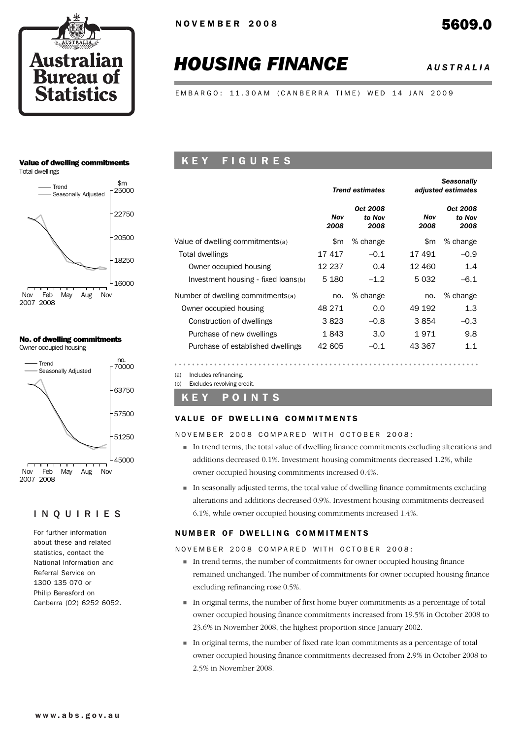

# *HOUSING FINANCE AUSTRALIA*

EMBARGO: 11.30AM (CANBERRA TIME) WED 14 JAN 2009

# Value of dwelling commitments

Total dwellings



#### No. of dwelling commitments Owner occupied housing



# INQUIRIES

For further information about these and related statistics, contact the National Information and Referral Service on 1300 135 070 or Philip Beresford on Canberra (02) 6252 6052.

# K E Y F I G U R E S

|                                     |             | <b>Trend estimates</b>     | <b>Seasonally</b><br>adjusted estimates |                            |  |  |
|-------------------------------------|-------------|----------------------------|-----------------------------------------|----------------------------|--|--|
|                                     | Nov<br>2008 | Oct 2008<br>to Nov<br>2008 | Nov<br>2008                             | Oct 2008<br>to Nov<br>2008 |  |  |
| Value of dwelling commitments(a)    | \$m         | % change                   | \$m                                     | % change                   |  |  |
| Total dwellings                     | 17417       | $-0.1$                     | 17491                                   | $-0.9$                     |  |  |
| Owner occupied housing              | 12 237      | 0.4                        | 12 460                                  | 1.4                        |  |  |
| Investment housing - fixed loans(b) | 5 1 8 0     | $-1.2$                     | 5032                                    | $-6.1$                     |  |  |
| Number of dwelling commitments(a)   | no.         | % change                   | no.                                     | % change                   |  |  |
| Owner occupied housing              | 48 271      | 0.0                        | 49 192                                  | 1.3                        |  |  |
| Construction of dwellings           | 3823        | $-0.8$                     | 3854                                    | $-0.3$                     |  |  |
| Purchase of new dwellings           | 1843        | 3.0                        | 1971                                    | 9.8                        |  |  |
| Purchase of established dwellings   | 42 605      | $-0.1$                     | 43 367                                  | 1.1                        |  |  |

(a) Includes refinancing.

(b) Excludes revolving credit.

# K E Y P O I N T S

#### VALUE OF DWELLING COMMITMENTS

NOVEMBER 2008 COMPARED WITH OCTOBER 2008:

- ! In trend terms, the total value of dwelling finance commitments excluding alterations and additions decreased 0.1%. Investment housing commitments decreased 1.2%, while owner occupied housing commitments increased 0.4%.
- ! In seasonally adjusted terms, the total value of dwelling finance commitments excluding alterations and additions decreased 0.9%. Investment housing commitments decreased 6.1%, while owner occupied housing commitments increased 1.4%.

# NUMBER OF DWELLING COMMITMENTS

NOVEMBER 2008 COMPARED WITH OCTOBER 2008:

- ! In trend terms, the number of commitments for owner occupied housing finance remained unchanged. The number of commitments for owner occupied housing finance excluding refinancing rose 0.5%.
- ! In original terms, the number of first home buyer commitments as a percentage of total owner occupied housing finance commitments increased from 19.5% in October 2008 to 23.6% in November 2008, the highest proportion since January 2002.
- ! In original terms, the number of fixed rate loan commitments as a percentage of total owner occupied housing finance commitments decreased from 2.9% in October 2008 to 2.5% in November 2008.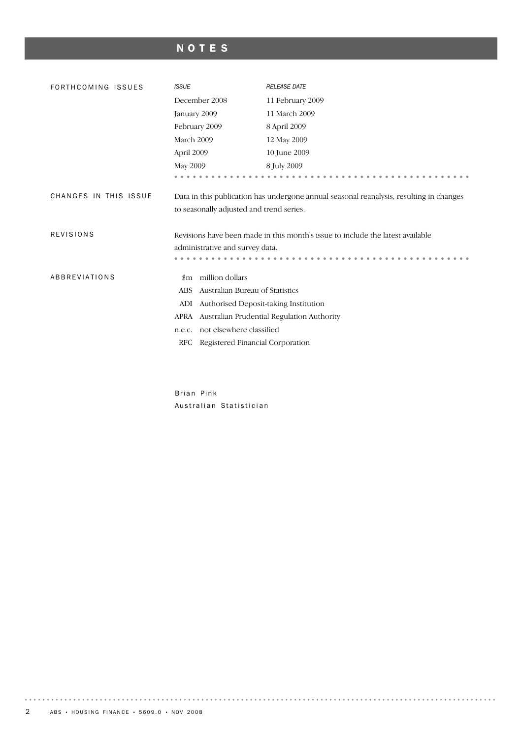# NOTES

| FORTHCOMING ISSUES    | <b>ISSUE</b>                                                                            | <b>RELEASE DATE</b>                                                            |  |  |  |  |  |
|-----------------------|-----------------------------------------------------------------------------------------|--------------------------------------------------------------------------------|--|--|--|--|--|
|                       | December 2008                                                                           | 11 February 2009                                                               |  |  |  |  |  |
|                       | January 2009                                                                            | 11 March 2009                                                                  |  |  |  |  |  |
|                       | February 2009                                                                           | 8 April 2009                                                                   |  |  |  |  |  |
|                       | March 2009                                                                              | 12 May 2009                                                                    |  |  |  |  |  |
|                       | April 2009                                                                              | 10 June 2009                                                                   |  |  |  |  |  |
|                       | May 2009                                                                                | 8 July 2009                                                                    |  |  |  |  |  |
|                       |                                                                                         |                                                                                |  |  |  |  |  |
| CHANGES IN THIS ISSUE | Data in this publication has undergone annual seasonal reanalysis, resulting in changes |                                                                                |  |  |  |  |  |
|                       | to seasonally adjusted and trend series.                                                |                                                                                |  |  |  |  |  |
|                       |                                                                                         |                                                                                |  |  |  |  |  |
| <b>REVISIONS</b>      |                                                                                         | Revisions have been made in this month's issue to include the latest available |  |  |  |  |  |
|                       | administrative and survey data.                                                         |                                                                                |  |  |  |  |  |
|                       |                                                                                         |                                                                                |  |  |  |  |  |
| ABBREVIATIONS         | million dollars<br>$_{\rm sm}$                                                          |                                                                                |  |  |  |  |  |
|                       | Australian Bureau of Statistics<br><b>ABS</b>                                           |                                                                                |  |  |  |  |  |
|                       | ADI<br>Authorised Deposit-taking Institution                                            |                                                                                |  |  |  |  |  |
|                       | <b>APRA</b><br>Australian Prudential Regulation Authority                               |                                                                                |  |  |  |  |  |
|                       |                                                                                         |                                                                                |  |  |  |  |  |
|                       | not elsewhere classified<br>n.e.c.                                                      |                                                                                |  |  |  |  |  |
|                       | Registered Financial Corporation<br>RFC                                                 |                                                                                |  |  |  |  |  |

Brian Pink Australian Statistician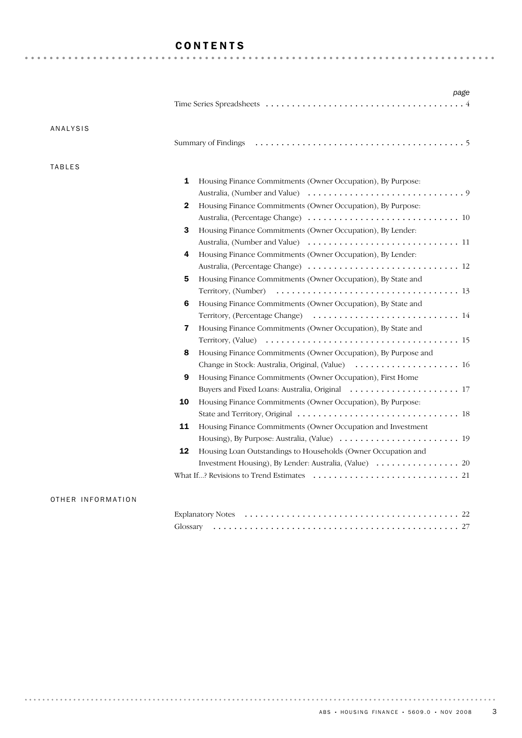# CONTENTS

| ANALYSIS      |                                                                                         |
|---------------|-----------------------------------------------------------------------------------------|
|               |                                                                                         |
| <b>TABLES</b> |                                                                                         |
|               | 1<br>Housing Finance Commitments (Owner Occupation), By Purpose:                        |
|               |                                                                                         |
|               | Housing Finance Commitments (Owner Occupation), By Purpose:<br>2                        |
|               |                                                                                         |
|               | 3<br>Housing Finance Commitments (Owner Occupation), By Lender:                         |
|               |                                                                                         |
|               | Housing Finance Commitments (Owner Occupation), By Lender:<br>4                         |
|               |                                                                                         |
|               | 5<br>Housing Finance Commitments (Owner Occupation), By State and                       |
|               |                                                                                         |
|               | 6<br>Housing Finance Commitments (Owner Occupation), By State and                       |
|               |                                                                                         |
|               | $\overline{\mathbf{r}}$<br>Housing Finance Commitments (Owner Occupation), By State and |
|               |                                                                                         |
|               | Housing Finance Commitments (Owner Occupation), By Purpose and<br>8                     |
|               | Change in Stock: Australia, Original, (Value)  16                                       |
|               | 9<br>Housing Finance Commitments (Owner Occupation), First Home                         |
|               |                                                                                         |
|               | 10<br>Housing Finance Commitments (Owner Occupation), By Purpose:                       |
|               |                                                                                         |
|               | 11<br>Housing Finance Commitments (Owner Occupation and Investment                      |
|               |                                                                                         |
|               | 12<br>Housing Loan Outstandings to Households (Owner Occupation and                     |
|               |                                                                                         |
|               |                                                                                         |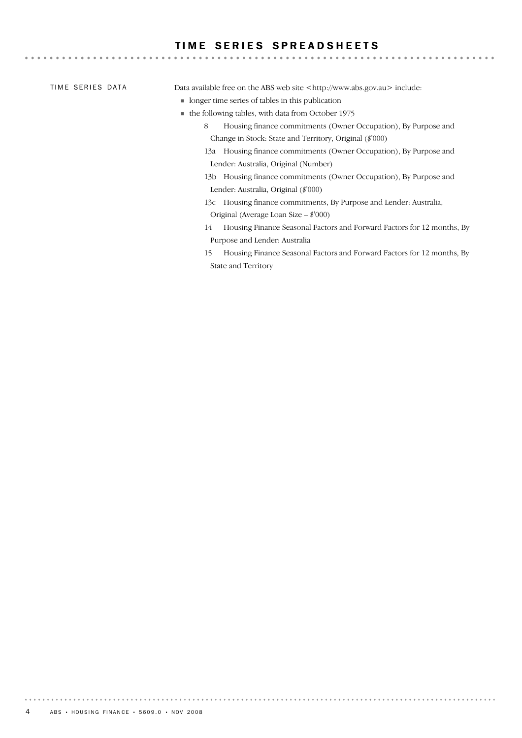# TIME SERIES SPREADSHEETS

|  | TIME SERIES DATA |  |  |
|--|------------------|--|--|
|--|------------------|--|--|

Data available free on the ABS web site <http://www.abs.gov.au> include:

- ! longer time series of tables in this publication
- ! the following tables, with data from October 1975
	- 8 Housing finance commitments (Owner Occupation), By Purpose and Change in Stock: State and Territory, Original (\$'000)

- 13a Housing finance commitments (Owner Occupation), By Purpose and Lender: Australia, Original (Number)
- 13b Housing finance commitments (Owner Occupation), By Purpose and Lender: Australia, Original (\$'000)
- 13c Housing finance commitments, By Purpose and Lender: Australia, Original (Average Loan Size – \$'000)
- 14 Housing Finance Seasonal Factors and Forward Factors for 12 months, By Purpose and Lender: Australia
- 15 Housing Finance Seasonal Factors and Forward Factors for 12 months, By State and Territory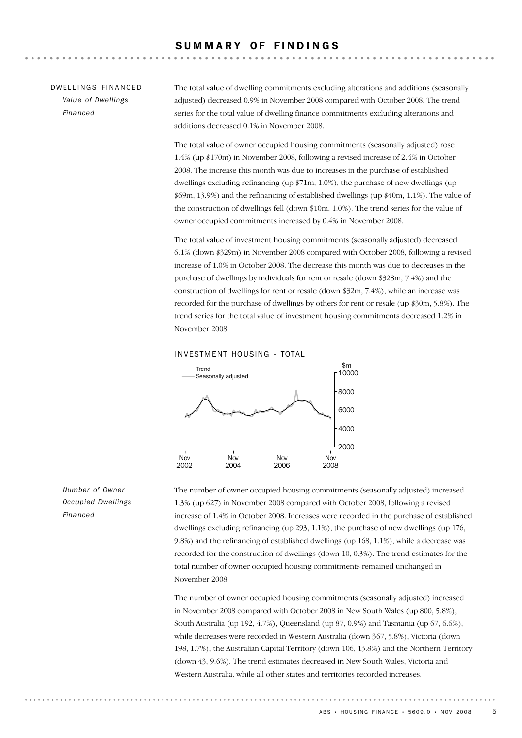## SUMMARY OF FINDINGS

# DW FILINGS FINANCED *Value of Dwellings Financed*

The total value of dwelling commitments excluding alterations and additions (seasonally adjusted) decreased 0.9% in November 2008 compared with October 2008. The trend series for the total value of dwelling finance commitments excluding alterations and additions decreased 0.1% in November 2008.

The total value of owner occupied housing commitments (seasonally adjusted) rose 1.4% (up \$170m) in November 2008, following a revised increase of 2.4% in October 2008. The increase this month was due to increases in the purchase of established dwellings excluding refinancing (up \$71m, 1.0%), the purchase of new dwellings (up \$69m, 13.9%) and the refinancing of established dwellings (up \$40m, 1.1%). The value of the construction of dwellings fell (down \$10m, 1.0%). The trend series for the value of owner occupied commitments increased by 0.4% in November 2008.

The total value of investment housing commitments (seasonally adjusted) decreased 6.1% (down \$329m) in November 2008 compared with October 2008, following a revised increase of 1.0% in October 2008. The decrease this month was due to decreases in the purchase of dwellings by individuals for rent or resale (down \$328m, 7.4%) and the construction of dwellings for rent or resale (down \$32m, 7.4%), while an increase was recorded for the purchase of dwellings by others for rent or resale (up \$30m, 5.8%). The trend series for the total value of investment housing commitments decreased 1.2% in November 2008.





*Number of Owner Occupied Dwellings Financed*

The number of owner occupied housing commitments (seasonally adjusted) increased 1.3% (up 627) in November 2008 compared with October 2008, following a revised increase of 1.4% in October 2008. Increases were recorded in the purchase of established dwellings excluding refinancing (up 293, 1.1%), the purchase of new dwellings (up 176, 9.8%) and the refinancing of established dwellings (up 168, 1.1%), while a decrease was recorded for the construction of dwellings (down 10, 0.3%). The trend estimates for the total number of owner occupied housing commitments remained unchanged in November 2008.

The number of owner occupied housing commitments (seasonally adjusted) increased in November 2008 compared with October 2008 in New South Wales (up 800, 5.8%), South Australia (up 192, 4.7%), Queensland (up 87, 0.9%) and Tasmania (up 67, 6.6%), while decreases were recorded in Western Australia (down 367, 5.8%), Victoria (down 198, 1.7%), the Australian Capital Territory (down 106, 13.8%) and the Northern Territory (down 43, 9.6%). The trend estimates decreased in New South Wales, Victoria and Western Australia, while all other states and territories recorded increases.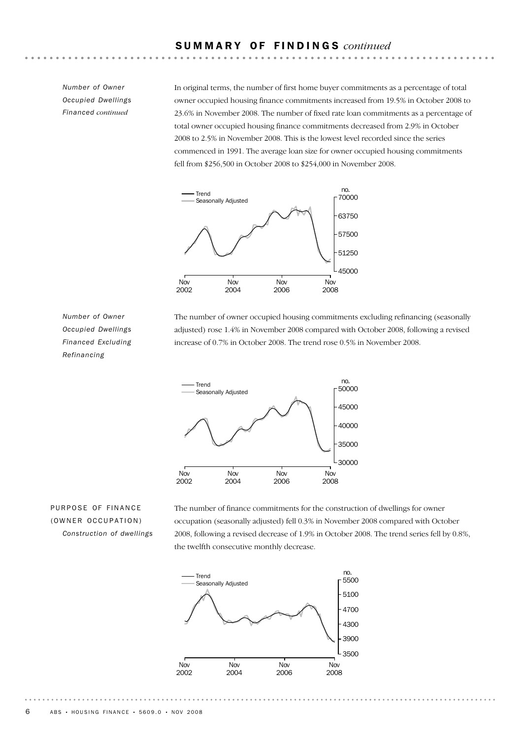# S U M M A R Y O F F I N D I N G S *continued*

*Number of Owner Occupied Dwellings Financed continued*

In original terms, the number of first home buyer commitments as a percentage of total owner occupied housing finance commitments increased from 19.5% in October 2008 to 23.6% in November 2008. The number of fixed rate loan commitments as a percentage of total owner occupied housing finance commitments decreased from 2.9% in October 2008 to 2.5% in November 2008. This is the lowest level recorded since the series commenced in 1991. The average loan size for owner occupied housing commitments fell from \$256,500 in October 2008 to \$254,000 in November 2008.



*Number of Owner Occupied Dwellings Financed Excluding Refinancing*

The number of owner occupied housing commitments excluding refinancing (seasonally adjusted) rose 1.4% in November 2008 compared with October 2008, following a revised increase of 0.7% in October 2008. The trend rose 0.5% in November 2008.



# PURPOSE OF FINANCE (OWNER OCCUPATION) *Construction of dwellings*

The number of finance commitments for the construction of dwellings for owner occupation (seasonally adjusted) fell 0.3% in November 2008 compared with October 2008, following a revised decrease of 1.9% in October 2008. The trend series fell by 0.8%, the twelfth consecutive monthly decrease.

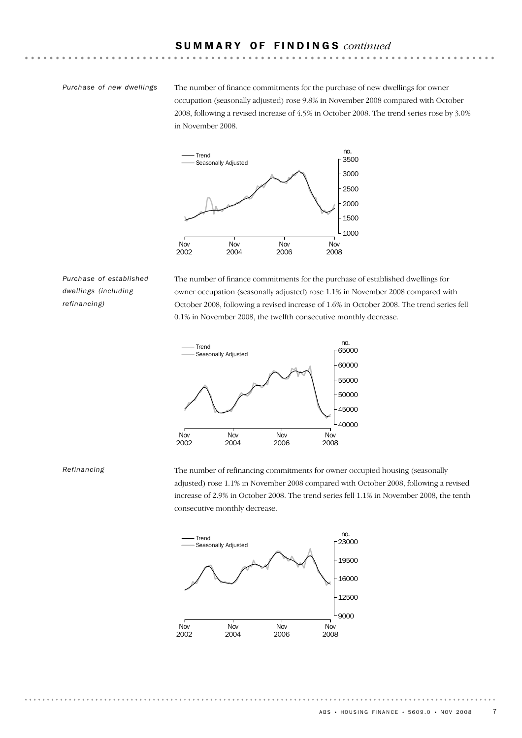#### *Purchase of new dwellings*

The number of finance commitments for the purchase of new dwellings for owner occupation (seasonally adjusted) rose 9.8% in November 2008 compared with October 2008, following a revised increase of 4.5% in October 2008. The trend series rose by 3.0% in November 2008.



*Purchase of established dwellings (including refinancing)*

The number of finance commitments for the purchase of established dwellings for owner occupation (seasonally adjusted) rose 1.1% in November 2008 compared with October 2008, following a revised increase of 1.6% in October 2008. The trend series fell 0.1% in November 2008, the twelfth consecutive monthly decrease.



#### *Refinancing*

The number of refinancing commitments for owner occupied housing (seasonally adjusted) rose 1.1% in November 2008 compared with October 2008, following a revised increase of 2.9% in October 2008. The trend series fell 1.1% in November 2008, the tenth consecutive monthly decrease.



ABS • HOUSING FINANCE • 5609.0 • NOV 2008 7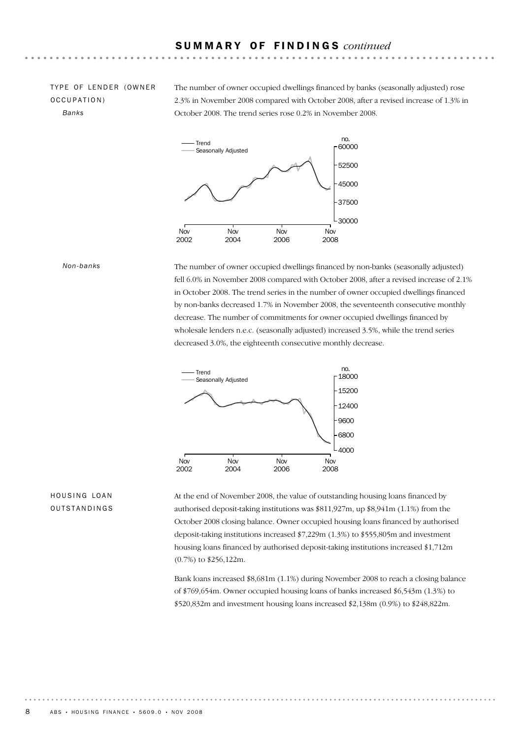# TYPE OF LENDER (OWNER OCCUPATION) *Banks*

The number of owner occupied dwellings financed by banks (seasonally adjusted) rose 2.3% in November 2008 compared with October 2008, after a revised increase of 1.3% in October 2008. The trend series rose 0.2% in November 2008.



#### *Non-banks*

The number of owner occupied dwellings financed by non-banks (seasonally adjusted) fell 6.0% in November 2008 compared with October 2008, after a revised increase of 2.1% in October 2008. The trend series in the number of owner occupied dwellings financed by non-banks decreased 1.7% in November 2008, the seventeenth consecutive monthly decrease. The number of commitments for owner occupied dwellings financed by wholesale lenders n.e.c. (seasonally adjusted) increased 3.5%, while the trend series decreased 3.0%, the eighteenth consecutive monthly decrease.



# HOUSING LOAN OUTSTANDINGS

At the end of November 2008, the value of outstanding housing loans financed by authorised deposit-taking institutions was \$811,927m, up \$8,941m (1.1%) from the October 2008 closing balance. Owner occupied housing loans financed by authorised deposit-taking institutions increased \$7,229m (1.3%) to \$555,805m and investment housing loans financed by authorised deposit-taking institutions increased \$1,712m (0.7%) to \$256,122m.

Bank loans increased \$8,681m (1.1%) during November 2008 to reach a closing balance of \$769,654m. Owner occupied housing loans of banks increased \$6,543m (1.3%) to \$520,832m and investment housing loans increased \$2,138m (0.9%) to \$248,822m.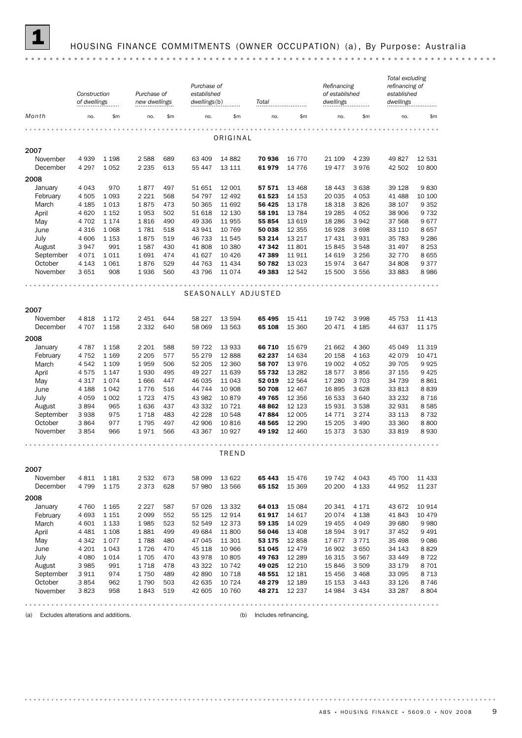

#### 1 HOUSING FINANCE COMMITMENTS (OWNER OCCUPATION) (a) , By Purpose: Australia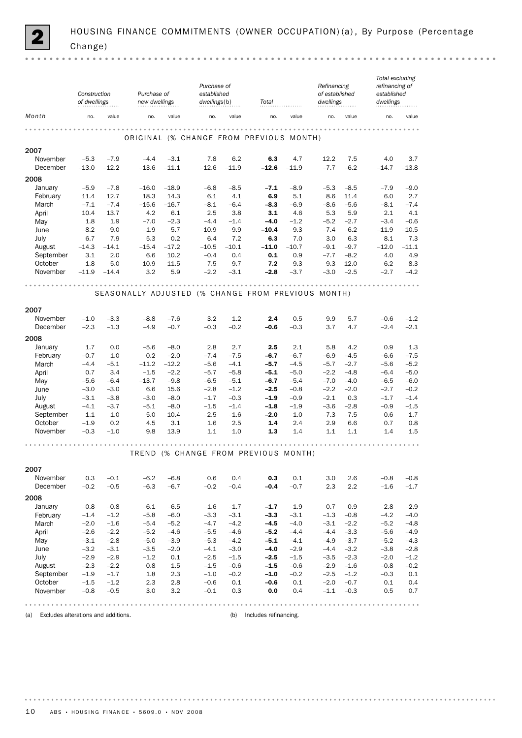|                      | Construction<br>of dwellings |                   | Purchase of<br>new dwellings                       |                   | Purchase of<br>established<br>dwellings(b) |                   | Total                                   |                  | Refinancing<br>of established<br>dwellings |                  | Total excluding<br>refinancing of<br>established<br>dwellings |                  |
|----------------------|------------------------------|-------------------|----------------------------------------------------|-------------------|--------------------------------------------|-------------------|-----------------------------------------|------------------|--------------------------------------------|------------------|---------------------------------------------------------------|------------------|
| Month                | no.                          | value             | no.                                                | value             | no.                                        | value             | no.                                     | value            | no.                                        | value            | no.                                                           | value            |
|                      |                              |                   |                                                    |                   |                                            |                   | ORIGINAL (% CHANGE FROM PREVIOUS MONTH) |                  |                                            |                  |                                                               |                  |
| 2007                 |                              |                   |                                                    |                   |                                            |                   |                                         |                  |                                            |                  |                                                               |                  |
| November<br>December | $-5.3$<br>$-13.0$            | $-7.9$<br>$-12.2$ | $-4.4$<br>$-13.6$                                  | $-3.1$<br>$-11.1$ | 7.8<br>$-12.6$                             | 6.2<br>$-11.9$    | 6.3<br>$-12.6$                          | 4.7<br>$-11.9$   | 12.2<br>$-7.7$                             | 7.5<br>$-6.2$    | 4.0<br>$-14.7$                                                | 3.7<br>$-13.8$   |
| 2008                 |                              |                   |                                                    |                   |                                            |                   |                                         |                  |                                            |                  |                                                               |                  |
| January              | $-5.9$                       | $-7.8$            | $-16.0$                                            | $-18.9$           | $-6.8$                                     | $-8.5$            | $-7.1$                                  | $-8.9$           | $-5.3$                                     | $-8.5$           | $-7.9$                                                        | $-9.0$           |
| February             | 11.4                         | 12.7              | 18.3                                               | 14.3              | 6.1                                        | 4.1               | 6.9                                     | 5.1              | 8.6                                        | 11.4             | 6.0                                                           | 2.7              |
| March                | $-7.1$                       | $-7.4$            | $-15.6$                                            | $-16.7$           | $-8.1$                                     | $-6.4$            | $-8.3$                                  | $-6.9$           | $-8.6$                                     | $-5.6$           | $-8.1$                                                        | $-7.4$           |
| April                | 10.4                         | 13.7              | 4.2                                                | 6.1               | 2.5                                        | 3.8               | 3.1                                     | 4.6              | 5.3                                        | 5.9              | 2.1                                                           | 4.1              |
| May                  | 1.8                          | 1.9               | $-7.0$                                             | $-2.3$            | $-4.4$                                     | $-1.4$            | $-4.0$                                  | $-1.2$           | $-5.2$                                     | $-2.7$           | $-3.4$                                                        | $-0.6$           |
| June                 | $-8.2$                       | $-9.0$            | $-1.9$                                             | 5.7               | $-10.9$                                    | $-9.9$<br>7.2     | $-10.4$                                 | $-9.3$           | $-7.4$                                     | $-6.2$           | $-11.9$                                                       | $-10.5$          |
| July<br>August       | 6.7<br>$-14.3$               | 7.9<br>$-14.1$    | 5.3<br>$-15.4$                                     | 0.2<br>$-17.2$    | 6.4<br>$-10.5$                             | $-10.1$           | 6.3<br>$-11.0$                          | 7.0<br>$-10.7$   | 3.0<br>$-9.1$                              | 6.3<br>$-9.7$    | 8.1<br>$-12.0$                                                | 7.3<br>$-11.1$   |
| September            | 3.1                          | 2.0               | 6.6                                                | 10.2              | $-0.4$                                     | 0.4               | 0.1                                     | 0.9              | $-7.7$                                     | $-8.2$           | 4.0                                                           | 4.9              |
| October              | 1.8                          | 5.0               | 10.9                                               | 11.5              | 7.5                                        | 9.7               | 7.2                                     | 9.3              | 9.3                                        | 12.0             | 6.2                                                           | 8.3              |
| November             | $-11.9$                      | $-14.4$           | 3.2                                                | 5.9               | $-2.2$                                     | $-3.1$            | $-2.8$                                  | $-3.7$           | $-3.0$                                     | $-2.5$           | $-2.7$                                                        | $-4.2$           |
|                      |                              |                   |                                                    |                   |                                            | $-0.000$          |                                         | $- - - - - -$    |                                            |                  |                                                               |                  |
|                      |                              |                   | SEASONALLY ADJUSTED (% CHANGE FROM PREVIOUS MONTH) |                   |                                            |                   |                                         |                  |                                            |                  |                                                               |                  |
| 2007                 |                              |                   |                                                    |                   |                                            |                   |                                         |                  |                                            |                  |                                                               |                  |
| November             | $-1.0$                       | $-3.3$            | $-8.8$                                             | $-7.6$            | 3.2                                        | 1.2               | 2.4                                     | 0.5              | 9.9                                        | 5.7              | $-0.6$                                                        | $-1.2$           |
| December             | $-2.3$                       | $-1.3$            | $-4.9$                                             | $-0.7$            | $-0.3$                                     | $-0.2$            | $-0.6$                                  | $-0.3$           | 3.7                                        | 4.7              | $-2.4$                                                        | $-2.1$           |
| 2008                 |                              |                   |                                                    |                   |                                            |                   |                                         |                  |                                            |                  |                                                               |                  |
| January              | 1.7                          | 0.0               | $-5.6$                                             | $-8.0$            | 2.8                                        | 2.7               | 2.5                                     | 2.1              | 5.8                                        | 4.2              | 0.9                                                           | 1.3              |
| February             | $-0.7$                       | 1.0               | 0.2                                                | $-2.0$            | $-7.4$                                     | $-7.5$            | -6.7                                    | $-6.7$           | $-6.9$                                     | $-4.5$           | $-6.6$                                                        | $-7.5$           |
| March                | $-4.4$                       | $-5.1$            | $-11.2$                                            | $-12.2$           | $-5.6$                                     | $-4.1$            | $-5.7$                                  | $-4.5$           | $-5.7$                                     | $-2.7$           | $-5.6$                                                        | $-5.2$           |
| April                | 0.7                          | 3.4               | $-1.5$                                             | $-2.2$            | $-5.7$                                     | $-5.8$            | $-5.1$                                  | $-5.0$           | $-2.2$                                     | $-4.8$           | $-6.4$                                                        | $-5.0$           |
| May                  | $-5.6$                       | $-6.4$            | $-13.7$                                            | $-9.8$            | $-6.5$                                     | $-5.1$            | $-6.7$                                  | $-5.4$           | $-7.0$                                     | $-4.0$           | $-6.5$                                                        | $-6.0$           |
| June                 | $-3.0$                       | $-3.0$            | 6.6                                                | 15.6              | $-2.8$                                     | $-1.2$            | $-2.5$                                  | $-0.8$           | $-2.2$                                     | $-2.0$           | $-2.7$                                                        | $-0.2$           |
| July                 | $-3.1$                       | $-3.8$            | $-3.0$                                             | $-8.0$<br>$-8.0$  | $-1.7$<br>$-1.5$                           | $-0.3$<br>$-1.4$  | $-1.9$                                  | $-0.9$<br>$-1.9$ | $-2.1$<br>$-3.6$                           | 0.3<br>$-2.8$    | $-1.7$                                                        | $-1.4$<br>$-1.5$ |
| August<br>September  | $-4.1$<br>1.1                | $-3.7$<br>1.0     | $-5.1$<br>5.0                                      | 10.4              | $-2.5$                                     | $-1.6$            | $-1.8$<br>$-2.0$                        | $-1.0$           | $-7.3$                                     | $-7.5$           | $-0.9$<br>0.6                                                 | 1.7              |
| October              | $-1.9$                       | 0.2               | 4.5                                                | 3.1               | 1.6                                        | 2.5               | 1.4                                     | 2.4              | 2.9                                        | 6.6              | 0.7                                                           | 0.8              |
| November             | $-0.3$                       | $-1.0$            | 9.8                                                | 13.9              | 1.1                                        | 1.0               | 1.3                                     | 1.4              | 1.1                                        | 1.1              | 1.4                                                           | 1.5              |
|                      |                              |                   |                                                    |                   |                                            |                   |                                         |                  |                                            |                  |                                                               |                  |
|                      |                              |                   |                                                    |                   |                                            |                   | TREND (% CHANGE FROM PREVIOUS MONTH)    |                  |                                            |                  |                                                               |                  |
| 2007                 |                              |                   |                                                    |                   |                                            |                   |                                         |                  |                                            |                  |                                                               |                  |
| November             | 0.3                          | $-0.1$            | $-6.2$                                             | $-6.8$            | 0.6                                        | 0.4               | 0.3                                     | 0.1              | 3.0                                        | 2.6              | $-0.8$                                                        | $-0.8$           |
| December             | $-0.2$                       | $-0.5$            | $-6.3$                                             | $-6.7$            | $-0.2$                                     | $-0.4$            | $-0.4$                                  | $-0.7$           | 2.3                                        | 2.2              | $-1.6$                                                        | $-1.7$           |
| 2008                 |                              |                   |                                                    |                   |                                            |                   |                                         |                  |                                            |                  |                                                               |                  |
| January              | $-0.8$                       | $-0.8$            | $-6.1$                                             | $-6.5$            | $-1.6$                                     | $-1.7$            | $-1.7$                                  | $-1.9$           | 0.7                                        | 0.9              | $-2.8$                                                        | $-2.9$           |
| February             | $-1.4$                       | $-1.2$            | $-5.8$                                             | $-6.0$            | $-3.3$                                     | $-3.1$            | $-3.3$                                  | $-3.1$           | $-1.3$                                     | $-0.8$           | $-4.2$                                                        | $-4.0$           |
| March                | $-2.0$                       | $-1.6$            | $-5.4$                                             | $-5.2$            | $-4.7$                                     | $-4.2$            | -4.5                                    | $-4.0$           | $-3.1$                                     | $-2.2$           | $-5.2$                                                        | $-4.8$           |
| April                | $-2.6$                       | $-2.2$            | $-5.2$                                             | $-4.6$            | $-5.5$                                     | $-4.6$            | $-5.2$                                  | $-4.4$           | $-4.4$                                     | $-3.3$           | $-5.6$                                                        | $-4.9$           |
| May                  | $-3.1$                       | $-2.8$            | $-5.0$                                             | $-3.9$            | $-5.3$                                     | $-4.2$            | $-5.1$                                  | $-4.1$           | $-4.9$                                     | $-3.7$           | $-5.2$                                                        | $-4.3$           |
| June                 | $-3.2$                       | $-3.1$            | $-3.5$                                             | $-2.0$            | $-4.1$                                     | $-3.0$            | $-4.0$                                  | $-2.9$           | $-4.4$                                     | $-3.2$           | $-3.8$                                                        | $-2.8$           |
| July                 | $-2.9$                       | $-2.9$            | $-1.2$                                             | 0.1               | $-2.5$                                     | $-1.5$            | $-2.5$                                  | $-1.5$           | $-3.5$                                     | $-2.3$           | $-2.0$                                                        | $-1.2$           |
| August               | $-2.3$                       | $-2.2$            | 0.8                                                | 1.5               | $-1.5$                                     | $-0.6$            | $-1.5$                                  | $-0.6$           | $-2.9$                                     | $-1.6$           | $-0.8$                                                        | $-0.2$           |
| September<br>October | $-1.9$<br>$-1.5$             | $-1.7$<br>$-1.2$  | 1.8<br>2.3                                         | 2.3<br>2.8        | $-1.0$<br>$-0.6$                           | $-0.2$<br>$0.1\,$ | $-1.0$<br>$-0.6$                        | $-0.2$           | $-2.5$<br>$-2.0$                           | $-1.2$<br>$-0.7$ | $-0.3$<br>0.1                                                 | 0.1<br>0.4       |
| November             | $-0.8$                       | $-0.5$            | 3.0                                                | 3.2               | $-0.1$                                     | 0.3               | 0.0                                     | 0.1<br>0.4       | $-1.1$                                     | $-0.3$           | 0.5                                                           | 0.7              |
|                      |                              |                   |                                                    |                   |                                            |                   |                                         |                  |                                            |                  |                                                               |                  |
|                      |                              |                   |                                                    |                   |                                            |                   |                                         |                  |                                            |                  |                                                               |                  |

(a) Excludes alterations and additions. (b) Includes refinancing.

 $- - - - -$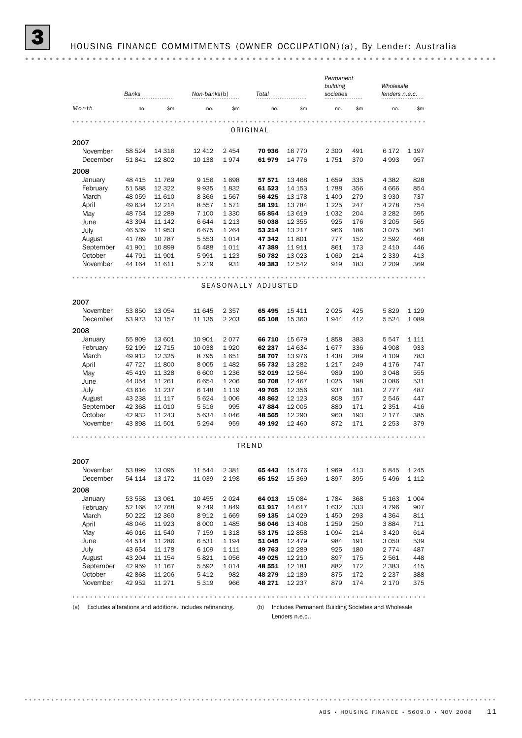|                          | Banks   |          | Non-banks(b) |         | Total   |          | Permanent<br>building<br>societies |     | Wholesale<br>lenders n.e.c. |                    |  |
|--------------------------|---------|----------|--------------|---------|---------|----------|------------------------------------|-----|-----------------------------|--------------------|--|
| Month                    | no.     | \$m\$    | no.          | \$m     | no.     | \$m      | no.                                | \$m | no.                         | \$m\$              |  |
| ORIGINAL                 |         |          |              |         |         |          |                                    |     |                             |                    |  |
| 2007                     |         |          |              |         |         |          |                                    |     |                             |                    |  |
| November                 | 58 524  | 14 3 16  | 12 4 12      | 2 4 5 4 | 70 936  | 16 770   | 2 3 0 0                            | 491 | 6 1 7 2                     | 1 1 9 7            |  |
| December                 | 51 841  | 12 802   | 10 138       | 1974    | 61979   | 14 7 7 6 | 1751                               | 370 | 4993                        | 957                |  |
| 2008                     |         |          |              |         |         |          |                                    |     |                             |                    |  |
| January                  | 48 4 15 | 11 769   | 9 1 5 6      | 1698    | 57 571  | 13 4 68  | 1659                               | 335 | 4 3 8 2                     | 828                |  |
| February                 | 51 588  | 12 3 22  | 9935         | 1832    | 61 523  | 14 153   | 1788                               | 356 | 4 6 6 6                     | 854                |  |
| March                    | 48 0 59 | 11 610   | 8 3 6 6      | 1567    | 56 425  | 13 178   | 1 400                              | 279 | 3 9 3 0                     | 737                |  |
| April                    | 49 634  | 12 2 14  | 8557         | 1571    | 58 191  | 13 7 84  | 1 2 2 5                            | 247 | 4 2 7 8                     | 754                |  |
| May                      | 48 754  | 12 2 8 9 | 7 100        | 1 3 3 0 | 55 854  | 13 619   | 1 0 3 2                            | 204 | 3 2 8 2                     | 595                |  |
| June                     | 43 394  | 11 142   | 6644         | 1 2 1 3 | 50 038  | 12 3 5 5 | 925                                | 176 | 3 2 0 5                     | 565                |  |
| July                     | 46 539  | 11 953   | 6675         | 1 2 6 4 | 53 214  | 13 217   | 966                                | 186 | 3075                        | 561                |  |
| August                   | 41 789  | 10 787   | 5 5 5 3      | 1014    | 47 342  | 11 801   | 777                                | 152 | 2 5 9 2                     | 468                |  |
| September                | 41 901  | 10 899   | 5488         | 1011    | 47 389  | 11 911   | 861                                | 173 | 2 4 1 0                     | 446                |  |
| October                  | 44 791  | 11 901   | 5991         | 1 1 2 3 | 50 782  | 13 0 23  | 1 0 6 9                            | 214 | 2 3 3 9                     | 413                |  |
| November                 | 44 164  | 11 611   | 5 2 1 9      | 931     | 49 383  | 12 542   | 919                                | 183 | 2 2 0 9                     | 369                |  |
| .<br>SEASONALLY ADJUSTED |         |          |              |         |         |          |                                    |     |                             |                    |  |
| 2007                     |         |          |              |         |         |          |                                    |     |                             |                    |  |
|                          |         |          |              |         |         |          |                                    |     |                             |                    |  |
| November                 | 53 850  | 13 0 54  | 11 645       | 2 3 5 7 | 65 495  | 15 411   | 2025                               | 425 | 5829                        | 1 1 2 9<br>1 0 8 9 |  |
| December                 | 53 973  | 13 157   | 11 135       | 2 2 0 3 | 65 108  | 15 360   | 1944                               | 412 | 5 5 2 4                     |                    |  |
| 2008                     |         |          |              |         |         |          |                                    |     |                             |                    |  |
| January                  | 55 809  | 13 601   | 10 901       | 2077    | 66 710  | 15 679   | 1858                               | 383 | 5547                        | 1 1 1 1            |  |
| February                 | 52 199  | 12 7 15  | 10 038       | 1920    | 62 237  | 14 634   | 1677                               | 336 | 4 9 0 8                     | 933                |  |
| March                    | 49 912  | 12 3 25  | 8795         | 1651    | 58 707  | 13976    | 1438                               | 289 | 4 1 0 9                     | 783                |  |
| April                    | 47 727  | 11800    | 8 0 0 5      | 1482    | 55 732  | 13 2 8 2 | 1 2 1 7                            | 249 | 4 1 7 6                     | 747                |  |
| May                      | 45 419  | 11 3 28  | 6 600        | 1 2 3 6 | 52 019  | 12 5 64  | 989                                | 190 | 3048                        | 555                |  |
| June                     | 44 054  | 11 261   | 6654         | 1 2 0 6 | 50 708  | 12 467   | 1025                               | 198 | 3 0 8 6                     | 531                |  |
| July                     | 43 616  | 11 237   | 6 1 4 8      | 1 1 1 9 | 49 765  | 12 3 5 6 | 937                                | 181 | 2 7 7 7                     | 487                |  |
| August                   | 43 238  | 11 117   | 5624         | 1 0 0 6 | 48 862  | 12 1 23  | 808                                | 157 | 2 5 4 6                     | 447                |  |
| September                | 42 3 68 | 11 0 10  | 5 5 1 6      | 995     | 47884   | 12 005   | 880                                | 171 | 2 3 5 1                     | 416                |  |
| October                  | 42 932  | 11 243   | 5 6 3 4      | 1046    | 48 565  | 12 290   | 960                                | 193 | 2 1 7 7                     | 385                |  |
| November                 | 43 898  | 11 501   | 5 2 9 4      | 959     | 49 192  | 12 460   | 872                                | 171 | 2 2 5 3                     | 379                |  |
|                          |         |          |              |         | TREND   |          |                                    |     |                             |                    |  |
| 2007                     |         |          |              |         |         |          |                                    |     |                             |                    |  |
| November                 | 53 899  | 13 0 95  | 11 544       | 2 3 8 1 | 65 4 43 | 15 4 7 6 | 1969                               | 413 | 5845                        | 1 2 4 5            |  |
| December                 | 54 114  | 13 172   | 11 0 39      | 2 1 9 8 | 65 152  | 15 3 69  | 1897                               | 395 | 5496                        | 1 1 1 2            |  |
| 2008                     |         |          |              |         |         |          |                                    |     |                             |                    |  |
| January                  | 53 558  | 13 061   | 10 455       | 2024    | 64 013  | 15 0 84  | 1784                               | 368 | 5 1 6 3                     | 1 0 0 4            |  |
| February                 | 52 168  | 12 768   | 9749         | 1849    | 61917   | 14 617   | 1632                               | 333 | 4796                        | 907                |  |
| March                    | 50 222  | 12 3 60  | 8912         | 1669    | 59 135  | 14 0 29  | 1450                               | 293 | 4 3 6 4                     | 811                |  |
| April                    | 48 046  | 11923    | 8 0 0 0      | 1485    | 56 046  | 13 408   | 1 2 5 9                            | 250 | 3884                        | 711                |  |
| May                      | 46 016  | 11 540   | 7 1 5 9      | 1318    | 53 175  | 12858    | 1094                               | 214 | 3 4 2 0                     | 614                |  |
| June                     | 44 514  | 11 286   | 6531         | 1 1 9 4 | 51 045  | 12 479   | 984                                | 191 | 3 0 5 0                     | 539                |  |
| July                     | 43 654  | 11 178   | 6 1 0 9      | 1 1 1 1 | 49 763  | 12 2 8 9 | 925                                | 180 | 2 7 7 4                     | 487                |  |
| August                   | 43 204  | 11 154   | 5821         | 1056    | 49 0 25 | 12 210   | 897                                | 175 | 2 5 6 1                     | 448                |  |
| September                | 42 959  | 11 167   | 5 5 9 2      | 1014    | 48 551  | 12 181   | 882                                | 172 | 2 3 8 3                     | 415                |  |
| October                  | 42 868  | 11 206   | 5412         | 982     | 48 279  | 12 189   | 875                                | 172 | 2 2 3 7                     | 388                |  |
| November                 | 42 952  | 11 271   | 5 3 1 9      | 966     | 48 271  | 12 237   | 879                                | 174 | 2 1 7 0                     | 375                |  |
|                          |         |          |              |         |         |          |                                    |     |                             | .                  |  |

(a) Excludes alterations and additions. Includes refinancing.

(b) Includes Permanent Building Societies and Wholesale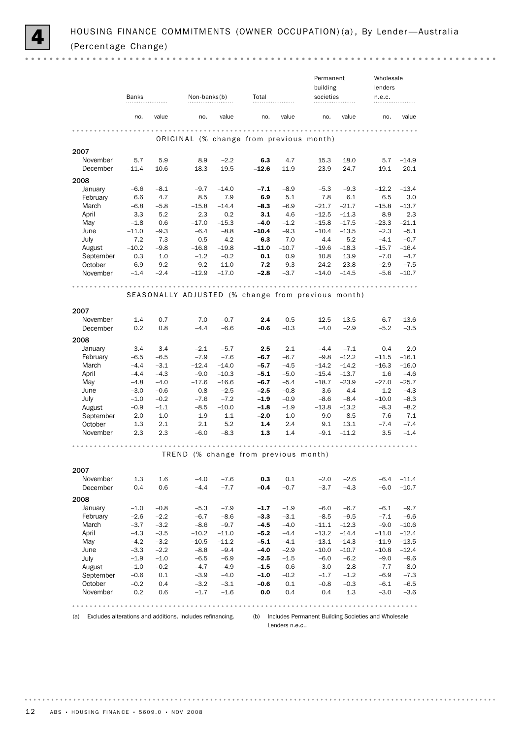|             |                   |               |                   |                |                                                    |                | Permanent          |                    | Wholesale         |                |
|-------------|-------------------|---------------|-------------------|----------------|----------------------------------------------------|----------------|--------------------|--------------------|-------------------|----------------|
|             |                   |               |                   |                |                                                    |                | building           |                    | lenders           |                |
|             | Banks             |               | Non-banks(b)      |                | Total                                              |                | societies          |                    | n.e.c.            |                |
|             | no.               | value         | no.               | value          | no.                                                | value          | no.                | value              | no.               | value          |
|             |                   |               |                   |                |                                                    |                |                    |                    |                   |                |
|             |                   |               |                   |                | ORIGINAL (% change from previous month)            |                |                    |                    |                   |                |
| 2007        |                   |               |                   |                |                                                    |                |                    |                    |                   |                |
| November    | 5.7               | 5.9           | 8.9               | $-2.2$         | 6.3                                                | 4.7<br>$-11.9$ | 15.3               | 18.0               | 5.7               | $-14.9$        |
| December    | $-11.4$           | $-10.6$       | $-18.3$           | $-19.5$        | $-12.6$                                            |                | $-23.9$            | $-24.7$            | $-19.1$           | $-20.1$        |
| 2008        |                   |               |                   |                |                                                    |                |                    |                    |                   |                |
| January     | $-6.6$            | $-8.1$        | $-9.7$            | $-14.0$        | $-7.1$                                             | $-8.9$         | $-5.3$             | $-9.3$             | $-12.2$           | $-13.4$        |
| February    | 6.6               | 4.7           | 8.5               | 7.9            | 6.9                                                | 5.1            | 7.8                | 6.1                | 6.5               | 3.0            |
| March       | $-6.8$            | $-5.8$        | $-15.8$           | $-14.4$        | $-8.3$                                             | $-6.9$         | $-21.7$            | $-21.7$            | $-15.8$           | $-13.7$        |
| April       | 3.3               | 5.2           | 2.3               | 0.2<br>$-15.3$ | 3.1<br>$-4.0$                                      | 4.6<br>$-1.2$  | $-12.5$<br>$-15.8$ | $-11.3$            | 8.9               | 2.3<br>$-21.1$ |
| May<br>June | $-1.8$<br>$-11.0$ | 0.6<br>$-9.3$ | $-17.0$<br>$-6.4$ | $-8.8$         | $-10.4$                                            | $-9.3$         | $-10.4$            | $-17.5$<br>$-13.5$ | $-23.3$<br>$-2.3$ | $-5.1$         |
| July        | 7.2               | 7.3           | 0.5               | 4.2            | 6.3                                                | 7.0            | 4.4                | 5.2                | $-4.1$            | $-0.7$         |
| August      | $-10.2$           | $-9.8$        | $-16.8$           | $-19.8$        | $-11.0$                                            | $-10.7$        | $-19.6$            | $-18.3$            | $-15.7$           | $-16.4$        |
| September   | 0.3               | 1.0           | $-1.2$            | $-0.2$         | 0.1                                                | 0.9            | 10.8               | 13.9               | $-7.0$            | $-4.7$         |
| October     | 6.9               | 9.2           | 9.2               | 11.0           | 7.2                                                | 9.3            | 24.2               | 23.8               | $-2.9$            | $-7.5$         |
| November    | $-1.4$            | $-2.4$        | $-12.9$           | $-17.0$        | $-2.8$                                             | $-3.7$         | $-14.0$            | $-14.5$            | $-5.6$            | $-10.7$        |
|             |                   |               |                   |                |                                                    |                |                    |                    |                   |                |
|             |                   |               |                   |                |                                                    |                |                    |                    |                   |                |
|             |                   |               |                   |                | SEASONALLY ADJUSTED (% change from previous month) |                |                    |                    |                   |                |
| 2007        |                   |               |                   |                |                                                    |                |                    |                    |                   |                |
| November    | 1.4               | 0.7           | 7.0               | $-0.7$         | 2.4                                                | 0.5            | 12.5               | 13.5               | 6.7               | $-13.6$        |
| December    | 0.2               | 0.8           | $-4.4$            | $-6.6$         | $-0.6$                                             | $-0.3$         | $-4.0$             | $-2.9$             | $-5.2$            | $-3.5$         |
| 2008        |                   |               |                   |                |                                                    |                |                    |                    |                   |                |
| January     | 3.4               | 3.4           | $-2.1$            | $-5.7$         | $2.5\,$                                            | 2.1            | $-4.4$             | $-7.1$             | 0.4               | 2.0            |
| February    | $-6.5$            | $-6.5$        | $-7.9$            | $-7.6$         | $-6.7$                                             | $-6.7$         | $-9.8$             | $-12.2$            | $-11.5$           | $-16.1$        |
| March       | $-4.4$            | $-3.1$        | $-12.4$           | $-14.0$        | $-5.7$                                             | $-4.5$         | $-14.2$            | $-14.2$            | $-16.3$           | $-16.0$        |
| April       | $-4.4$            | $-4.3$        | $-9.0$            | $-10.3$        | $-5.1$                                             | $-5.0$         | $-15.4$            | $-13.7$            | 1.6               | $-4.6$         |
| May         | $-4.8$            | $-4.0$        | $-17.6$           | $-16.6$        | $-6.7$                                             | $-5.4$         | $-18.7$            | $-23.9$            | $-27.0$           | $-25.7$        |
| June        | $-3.0$            | $-0.6$        | 0.8               | $-2.5$         | $-2.5$                                             | $-0.8$         | 3.6                | 4.4                | 1.2               | $-4.3$         |
| July        | $-1.0$            | $-0.2$        | $-7.6$            | $-7.2$         | $-1.9$                                             | $-0.9$         | -8.6               | $-8.4$             | $-10.0$           | $-8.3$         |
| August      | $-0.9$            | $-1.1$        | $-8.5$            | $-10.0$        | $-1.8$                                             | $-1.9$         | $-13.8$            | $-13.2$            | $-8.3$            | $-8.2$         |
| September   | $-2.0$            | $-1.0$        | $-1.9$            | $-1.1$         | $-2.0$                                             | $-1.0$         | 9.0                | 8.5                | $-7.6$            | $-7.1$         |
| October     | 1.3               | 2.1           | 2.1               | 5.2            | 1.4                                                | 2.4            | 9.1                | 13.1               | $-7.4$            | $-7.4$         |
| November    | 2.3               | 2.3           | $-6.0$            | $-8.3$         | 1.3                                                | 1.4            | $-9.1$             | $-11.2$            | 3.5               | $-1.4$         |
|             |                   |               |                   |                |                                                    |                |                    |                    |                   |                |
|             |                   |               |                   |                | TREND (% change from previous month)               |                |                    |                    |                   |                |
| 2007        |                   |               |                   |                |                                                    |                |                    |                    |                   |                |
| November    | 1.3               | 1.6           | $-4.0$            | $-7.6$         | 0.3                                                | 0.1            | $-2.0$             | $-2.6$             | $-6.4$            | $-11.4$        |
| December    | 0.4               | 0.6           | $-4.4$            | $-7.7$         | $-0.4$                                             | $-0.7$         | $-3.7$             | $-4.3$             | $-6.0$            | $-10.7$        |
| 2008        |                   |               |                   |                |                                                    |                |                    |                    |                   |                |
| January     | $-1.0$            | $-0.8$        | $-5.3$            | $-7.9$         | $-1.7$                                             | $-1.9$         | $-6.0$             | $-6.7$             | $-6.1$            | $-9.7$         |
| February    | $-2.6$            | $-2.2$        | $-6.7$            | $-8.6$         | $-3.3$                                             | $-3.1$         | $-8.5$             | $-9.5$             | $-7.1$            | $-9.6$         |
| March       | $-3.7$            | $-3.2$        | $-8.6$            | $-9.7$         | $-4.5$                                             | $-4.0$         | $-11.1$            | $-12.3$            | $-9.0$            | $-10.6$        |
| April       | $-4.3$            | $-3.5$        | $-10.2$           | $-11.0$        | $-5.2$                                             | $-4.4$         | $-13.2$            | $-14.4$            | $-11.0$           | $-12.4$        |
| May         | $-4.2$            | $-3.2$        | $-10.5$           | $-11.2$        | $-5.1$                                             | $-4.1$         | $-13.1$            | $-14.3$            | $-11.9$           | $-13.5$        |
| June        | $-3.3$            | $-2.2$        | $-8.8$            | $-9.4$         | $-4.0$                                             | $-2.9$         | $-10.0$            | $-10.7$            | $-10.8$           | $-12.4$        |
| <b>July</b> | $-1.9$            | $-1.0$        | $-6.5$            | $-6.9$         | $-2.5$                                             | $-1.5$         | $-6.0$             | $-6.2$             | $-9.0$            | $-9.6$         |
| August      | $-1.0$            | $-0.2$        | $-4.7$            | $-4.9$         | $-1.5$                                             | $-0.6$         | $-3.0$             | $-2.8$             | $-7.7$            | $-8.0$         |
| September   | $-0.6$            | 0.1           | $-3.9$            | $-4.0$         | $-1.0$                                             | $-0.2$         | $-1.7$             | $-1.2$             | $-6.9$            | $-7.3$         |
| October     | $-0.2$            | 0.4           | $-3.2$            | $-3.1$         | $-0.6$                                             | 0.1            | $-0.8$             | $-0.3$             | $-6.1$            | $-6.5$         |
| November    | 0.2               | 0.6           | $-1.7$            | $-1.6$         | $0.0\,$                                            | 0.4            | 0.4                | $1.3\,$            | $-3.0$            | $-3.6$         |
|             |                   |               |                   |                |                                                    |                |                    |                    |                   |                |
|             |                   |               |                   |                |                                                    |                |                    |                    |                   |                |

(a) Excludes alterations and additions. Includes refinancing.

(b) Includes Permanent Building Societies and Wholesale Lenders n.e.c..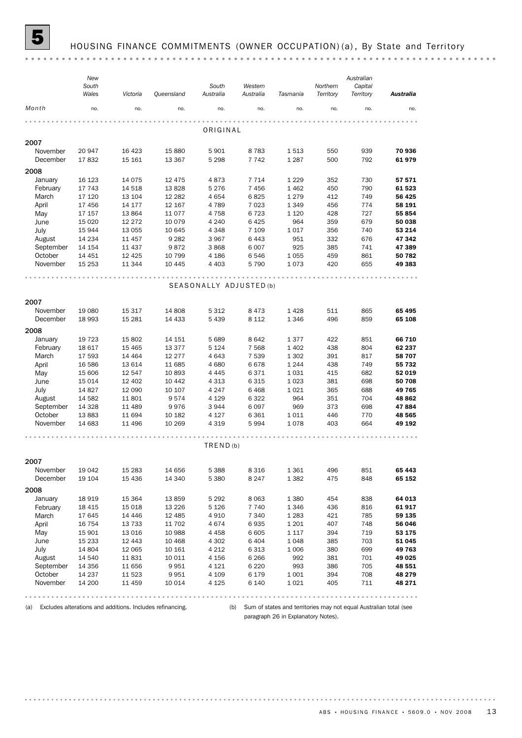

#### HOUSING FINANCE COMMITMENTS (OWNER OCCUPATION) (a), By State and Territory

(a) Excludes alterations and additions. Includes refinancing.

(b) Sum of states and territories may not equal Australian total (see paragraph 26 in Explanatory Notes).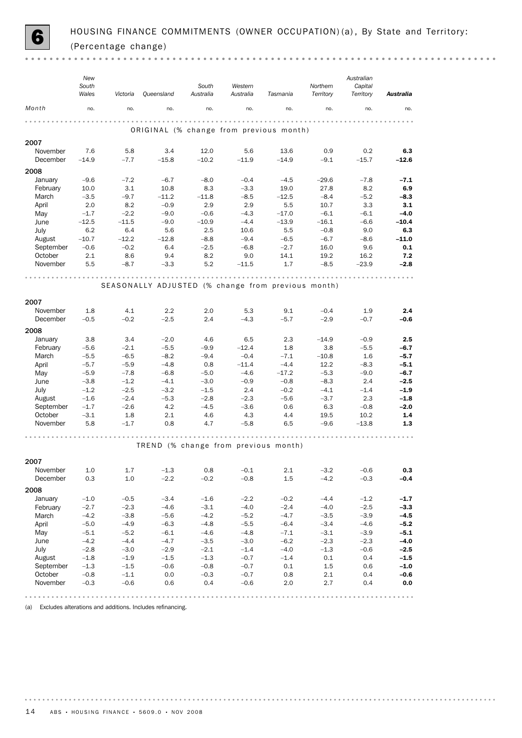

|                      | New<br>South<br>Wales | Victoria         | <b>Queensland</b>                                  | South<br>Australia | Western<br>Australia | Tasmania         | Northern<br>Territory | Australian<br>Capital<br>Territory | <b>Australia</b> |
|----------------------|-----------------------|------------------|----------------------------------------------------|--------------------|----------------------|------------------|-----------------------|------------------------------------|------------------|
| Month                | no.                   | no.              | no.                                                | no.                | no.                  | no.              | no.                   | no.                                | no.              |
|                      |                       |                  |                                                    |                    |                      |                  |                       |                                    |                  |
|                      |                       |                  | ORIGINAL (% change from previous month)            |                    |                      |                  |                       |                                    |                  |
| 2007                 |                       |                  |                                                    |                    |                      |                  |                       |                                    |                  |
| November<br>December | 7.6<br>$-14.9$        | 5.8<br>$-7.7$    | 3.4<br>$-15.8$                                     | 12.0<br>$-10.2$    | 5.6<br>$-11.9$       | 13.6<br>$-14.9$  | 0.9<br>$-9.1$         | 0.2<br>$-15.7$                     | 6.3<br>$-12.6$   |
|                      |                       |                  |                                                    |                    |                      |                  |                       |                                    |                  |
| 2008<br>January      | $-9.6$                | $-7.2$           | $-6.7$                                             | $-8.0$             | $-0.4$               | $-4.5$           | $-29.6$               | $-7.8$                             | $-7.1$           |
| February             | 10.0                  | 3.1              | 10.8                                               | 8.3                | $-3.3$               | 19.0             | 27.8                  | 8.2                                | 6.9              |
| March                | $-3.5$                | $-9.7$           | $-11.2$                                            | $-11.8$            | $-8.5$               | $-12.5$          | $-8.4$                | $-5.2$                             | $-8.3$           |
| April                | 2.0                   | 8.2              | $-0.9$                                             | 2.9                | 2.9                  | 5.5              | 10.7                  | 3.3                                | 3.1              |
| May                  | $-1.7$                | $-2.2$           | $-9.0$                                             | $-0.6$             | $-4.3$               | $-17.0$          | $-6.1$                | $-6.1$                             | $-4.0$           |
| June                 | $-12.5$               | $-11.5$          | $-9.0$                                             | $-10.9$            | $-4.4$               | $-13.9$          | $-16.1$               | $-6.6$                             | $-10.4$          |
| July                 | 6.2                   | 6.4              | 5.6                                                | 2.5                | 10.6                 | 5.5              | $-0.8$                | 9.0                                | 6.3              |
| August               | $-10.7$               | $-12.2$          | $-12.8$                                            | $-8.8$             | $-9.4$               | $-6.5$           | $-6.7$                | $-8.6$                             | $-11.0$          |
| September            | $-0.6$                | $-0.2$           | 6.4                                                | $-2.5$             | $-6.8$               | $-2.7$           | 16.0                  | 9.6                                | 0.1              |
| October              | 2.1                   | 8.6              | 9.4                                                | 8.2                | 9.0                  | 14.1             | 19.2                  | 16.2                               | 7.2              |
| November             | 5.5                   | $-8.7$           | $-3.3$                                             | 5.2                | $-11.5$              | 1.7              | $-8.5$                | $-23.9$                            | $-2.8$           |
|                      |                       |                  |                                                    |                    |                      |                  | .                     |                                    |                  |
|                      |                       |                  | SEASONALLY ADJUSTED (% change from previous month) |                    |                      |                  |                       |                                    |                  |
| 2007                 |                       |                  |                                                    |                    |                      |                  |                       |                                    |                  |
| November             | 1.8                   | 4.1              | 2.2                                                | 2.0                | 5.3                  | 9.1              | $-0.4$                | 1.9                                | 2.4              |
| December             | $-0.5$                | $-0.2$           | $-2.5$                                             | 2.4                | $-4.3$               | $-5.7$           | $-2.9$                | $-0.7$                             | -0.6             |
|                      |                       |                  |                                                    |                    |                      |                  |                       |                                    |                  |
| 2008                 |                       |                  |                                                    |                    |                      |                  |                       |                                    |                  |
| January              | 3.8                   | 3.4<br>$-2.1$    | $-2.0$<br>$-5.5$                                   | 4.6<br>$-9.9$      | 6.5<br>$-12.4$       | 2.3<br>1.8       | $-14.9$<br>3.8        | $-0.9$<br>$-5.5$                   | 2.5<br>$-6.7$    |
| February<br>March    | $-5.6$<br>$-5.5$      | $-6.5$           | $-8.2$                                             | $-9.4$             | $-0.4$               | $-7.1$           | $-10.8$               | 1.6                                | $-5.7$           |
| April                | $-5.7$                | $-5.9$           | $-4.8$                                             | 0.8                | $-11.4$              | $-4.4$           | 12.2                  | $-8.3$                             | $-5.1$           |
| May                  | $-5.9$                | $-7.8$           | $-6.8$                                             | $-5.0$             | $-4.6$               | $-17.2$          | $-5.3$                | $-9.0$                             | $-6.7$           |
| June                 | $-3.8$                | $-1.2$           | $-4.1$                                             | $-3.0$             | $-0.9$               | $-0.8$           | $-8.3$                | 2.4                                | $-2.5$           |
| July                 | $-1.2$                | $-2.5$           | $-3.2$                                             | $-1.5$             | 2.4                  | $-0.2$           | $-4.1$                | $-1.4$                             | $-1.9$           |
| August               | $-1.6$                | $-2.4$           | $-5.3$                                             | $-2.8$             | $-2.3$               | $-5.6$           | $-3.7$                | 2.3                                | $-1.8$           |
| September            | $-1.7$                | $-2.6$           | 4.2                                                | $-4.5$             | $-3.6$               | 0.6              | 6.3                   | $-0.8$                             | $-2.0$           |
| October              | $-3.1$                | 1.8              | 2.1                                                | 4.6                | 4.3                  | 4.4              | 19.5                  | 10.2                               | 1.4              |
| November             | 5.8                   | $-1.7$           | 0.8                                                | 4.7                | $-5.8$               | 6.5              | $-9.6$                | $-13.8$                            | 1.3              |
|                      |                       |                  |                                                    |                    |                      |                  | .                     |                                    |                  |
|                      |                       |                  | TREND (% change from previous month)               |                    |                      |                  |                       |                                    |                  |
|                      |                       |                  |                                                    |                    |                      |                  |                       |                                    |                  |
| 2007                 |                       |                  |                                                    |                    |                      |                  |                       |                                    |                  |
| November             | $1.0\,$               | 1.7              | $-1.3$                                             | 0.8                | $-0.1$               | 2.1              | $-3.2$                | $-0.6$                             | 0.3              |
| December             | 0.3                   | 1.0              | $-2.2$                                             | $-0.2$             | $-0.8$               | 1.5              | $-4.2$                | $-0.3$                             | $-0.4$           |
| 2008                 |                       |                  |                                                    |                    |                      |                  |                       |                                    |                  |
| January              | $-1.0$                | $-0.5$           | $-3.4$                                             | $-1.6$             | $-2.2$               | $-0.2$           | $-4.4$                | $-1.2$                             | $-1.7$           |
| February             | $-2.7$                | $-2.3$           | $-4.6$                                             | $-3.1$             | $-4.0$               | $-2.4$           | $-4.0$                | $-2.5$                             | $-3.3$           |
| March                | $-4.2$                | $-3.8$           | $-5.6$                                             | $-4.2$             | $-5.2$               | $-4.7$           | $-3.5$                | $-3.9$                             | $-4.5$           |
| April                | $-5.0$                | $-4.9$           | $-6.3$                                             | $-4.8$             | $-5.5$               | $-6.4$           | $-3.4$                | $-4.6$                             | $-5.2$           |
| May<br>June          | $-5.1$<br>$-4.2$      | $-5.2$<br>$-4.4$ | $-6.1$<br>$-4.7$                                   | $-4.6$<br>$-3.5$   | $-4.8$<br>$-3.0$     | $-7.1$<br>$-6.2$ | $-3.1$<br>$-2.3$      | $-3.9$<br>$-2.3$                   | $-5.1$<br>$-4.0$ |
| July                 | $-2.8$                | $-3.0$           | $-2.9$                                             | $-2.1$             | $-1.4$               | $-4.0$           | $-1.3$                | $-0.6$                             | $-2.5$           |
| August               | $-1.8$                | $-1.9$           | $-1.5$                                             | $-1.3$             | $-0.7$               | $-1.4$           | 0.1                   | 0.4                                | $-1.5$           |
| September            | $-1.3$                | $-1.5$           | $-0.6$                                             | $-0.8$             | $-0.7$               | 0.1              | 1.5                   | 0.6                                | $-1.0$           |
| October              | $-0.8$                | $-1.1$           | 0.0                                                | $-0.3$             | $-0.7$               | 0.8              | 2.1                   | 0.4                                | $-0.6$           |
| November             | $-0.3$                | $-0.6$           | 0.6                                                | 0.4                | $-0.6$               | 2.0              | 2.7                   | 0.4                                | 0.0              |
|                      |                       |                  |                                                    |                    |                      |                  |                       |                                    |                  |

(a) Excludes alterations and additions. Includes refinancing.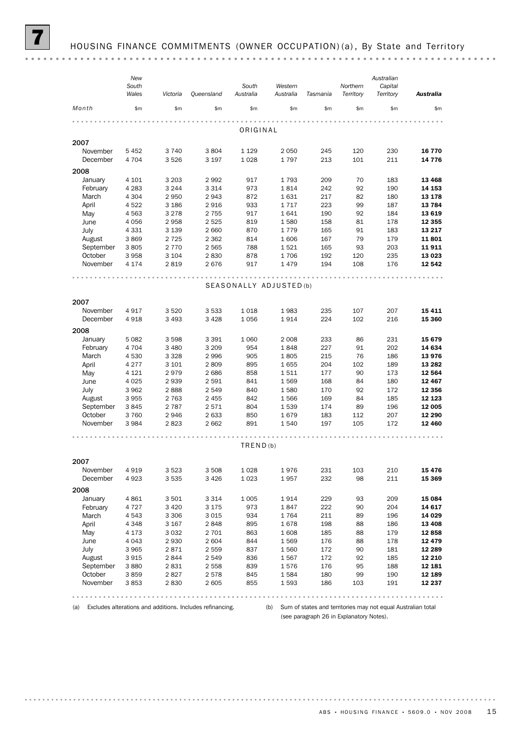|           | New<br>South<br>Wales | Victoria | Queensland | South<br>Australia      | Western<br>Australia | Tasmania | Northern<br>Territory | Australian<br>Capital<br>Territory | <b>Australia</b> |
|-----------|-----------------------|----------|------------|-------------------------|----------------------|----------|-----------------------|------------------------------------|------------------|
| Month     | \$m\$                 | \$m\$    | \$m\$      | \$m\$                   | \$m\$                | \$m\$    | \$m\$                 | \$m\$                              | \$m\$            |
|           |                       |          |            | ORIGINAL                |                      |          |                       |                                    |                  |
| 2007      |                       |          |            |                         |                      |          |                       |                                    |                  |
| November  | 5 4 5 2               | 3740     | 3804       | 1 1 2 9                 | 2 0 5 0              | 245      | 120                   | 230                                | 16 770           |
| December  | 4 7 0 4               | 3526     | 3 1 9 7    | 1028                    | 1797                 | 213      | 101                   | 211                                | 14 776           |
| 2008      |                       |          |            |                         |                      |          |                       |                                    |                  |
| January   | 4 1 0 1               | 3 2 0 3  | 2992       | 917                     | 1793                 | 209      | 70                    | 183                                | 13 4 68          |
| February  | 4 2 8 3               | 3 2 4 4  | 3 3 1 4    | 973                     | 1814                 | 242      | 92                    | 190                                | 14 153           |
| March     | 4 3 0 4               | 2 9 5 0  | 2943       | 872                     | 1631                 | 217      | 82                    | 180                                | 13 178           |
| April     | 4522                  | 3 1 8 6  | 2916       | 933                     | 1717                 | 223      | 99                    | 187                                | 13 7 84          |
| May       | 4563                  | 3 2 7 8  | 2 7 5 5    | 917                     | 1641                 | 190      | 92                    | 184                                | 13 619           |
| June      | 4 0 5 6               | 2958     | 2 5 2 5    | 819                     | 1580                 | 158      | 81                    | 178                                | 12 355           |
| July      | 4 3 3 1               | 3 1 3 9  | 2 6 6 0    | 870                     | 1779                 | 165      | 91                    | 183                                | 13 217           |
| August    | 3869                  | 2 7 2 5  | 2 3 6 2    | 814                     | 1606                 | 167      | 79                    | 179                                | 11801            |
| September | 3805                  | 2 7 7 0  | 2 5 6 5    | 788                     | 1521                 | 165      | 93                    | 203                                | 11911            |
| October   | 3958                  | 3 1 0 4  | 2830       | 878                     | 1706                 | 192      | 120                   | 235                                | 13 0 23          |
| November  | 4 1 7 4               | 2819     | 2676       | 917                     | 1479                 | 194      | 108                   | 176                                | 12 542           |
|           |                       |          |            |                         |                      |          |                       |                                    |                  |
|           |                       |          |            | SEASONALLY ADJUSTED (b) |                      |          |                       |                                    |                  |
| 2007      |                       |          |            |                         |                      |          |                       |                                    |                  |
| November  | 4917                  | 3520     | 3 5 3 3    | 1018                    | 1983                 | 235      | 107                   | 207                                | 15 411           |
| December  | 4918                  | 3 4 9 3  | 3 4 2 8    | 1056                    | 1914                 | 224      | 102                   | 216                                | 15 360           |
| 2008      |                       |          |            |                         |                      |          |                       |                                    |                  |
| January   | 5 0 8 2               | 3598     | 3 3 9 1    | 1 0 6 0                 | 2 0 0 8              | 233      | 86                    | 231                                | 15 679           |
| February  | 4 7 0 4               | 3 4 8 0  | 3 2 0 9    | 954                     | 1848                 | 227      | 91                    | 202                                | 14 634           |
| March     | 4 5 3 0               | 3 3 2 8  | 2996       | 905                     | 1805                 | 215      | 76                    | 186                                | 13976            |
| April     | 4 2 7 7               | 3 1 0 1  | 2809       | 895                     | 1655                 | 204      | 102                   | 189                                | 13 28 2          |
| May       | 4 1 2 1               | 2979     | 2686       | 858                     | 1511                 | 177      | 90                    | 173                                | 12 5 64          |
| June      | 4 0 25                | 2939     | 2 5 9 1    | 841                     | 1569                 | 168      | 84                    | 180                                | 12 467           |
| July      | 3 9 6 2               | 2888     | 2 5 4 9    | 840                     | 1580                 | 170      | 92                    | 172                                | 12 356           |
| August    | 3955                  | 2 7 6 3  | 2 4 5 5    | 842                     | 1566                 | 169      | 84                    | 185                                | 12 123           |
| September | 3845                  | 2 7 8 7  | 2571       | 804                     | 1539                 | 174      | 89                    | 196                                | 12 005           |
| October   | 3760                  | 2946     | 2 6 3 3    | 850                     | 1679                 | 183      | 112                   | 207                                | 12 290           |
| November  | 3 9 8 4               | 2823     | 2 6 6 2    | 891                     | 1540                 | 197      | 105                   | 172                                | 12 460           |
|           |                       |          |            |                         |                      |          |                       |                                    |                  |
|           |                       |          |            | TRED(b)                 |                      |          |                       |                                    |                  |
| 2007      |                       |          |            |                         |                      |          |                       |                                    |                  |
| November  | 4919                  | 3523     | 3508       | 1028                    | 1976                 | 231      | 103                   | 210                                | 15 476           |
| December  | 4923                  | 3 5 3 5  | 3 4 2 6    | 1023                    | 1957                 | 232      | 98                    | 211                                | 15 369           |
| 2008      |                       |          |            |                         |                      |          |                       |                                    |                  |
| January   | 4861                  | 3 5 0 1  | 3 3 1 4    | 1 0 0 5                 | 1914                 | 229      | 93                    | 209                                | 15 084           |
| February  | 4 7 2 7               | 3 4 2 0  | 3 1 7 5    | 973                     | 1847                 | 222      | 90                    | 204                                | 14 617           |
| March     | 4 5 4 3               | 3 3 0 6  | 3015       | 934                     | 1764                 | 211      | 89                    | 196                                | 14 0 29          |
| April     | 4 3 4 8               | 3 167    | 2848       | 895                     | 1678                 | 198      | 88                    | 186                                | 13 4 08          |
| May       | 4 1 7 3               | 3 0 3 2  | 2 701      | 863                     | 1608                 | 185      | 88                    | 179                                | 12858            |
| June      | 4 0 4 3               | 2930     | 2 604      | 844                     | 1569                 | 176      | 88                    | 178                                | 12 479           |
| July      | 3 9 6 5               | 2871     | 2 5 5 9    | 837                     | 1560                 | 172      | 90                    | 181                                | 12 289           |
| August    | 3915                  | 2844     | 2 5 4 9    | 836                     | 1567                 | 172      | 92                    | 185                                | 12 210           |
| September | 3880                  | 2831     | 2 558      | 839                     | 1576                 | 176      | 95                    | 188                                | 12 181           |
| October   | 3859                  | 2827     | 2578       | 845                     | 1584                 | 180      | 99                    | 190                                | 12 189           |
| November  | 3853                  | 2830     | 2 605      | 855                     | 1593                 | 186      | 103                   | 191                                | 12 237           |
|           |                       |          |            |                         |                      |          |                       |                                    | 0.0.0.0.0.0      |

(a) Excludes alterations and additions. Includes refinancing. (b) Sum of states and territories may not equal Australian total (see paragraph 26 in Explanatory Notes).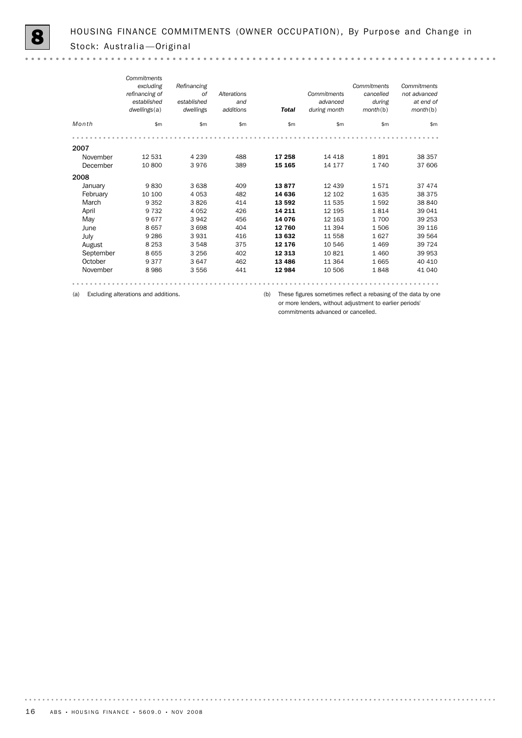$\sim$   $\sim$ 

|           | Commitments    |             |             |              |              |             |              |
|-----------|----------------|-------------|-------------|--------------|--------------|-------------|--------------|
|           | excluding      | Refinancing |             |              |              | Commitments | Commitments  |
|           | refinancing of | of          | Alterations |              | Commitments  | cancelled   | not advanced |
|           | established    | established | and         |              | advanced     | during      | at end of    |
|           | dwellings(a)   | dwellings   | additions   | <b>Total</b> | during month | month(b)    | month(b)     |
| Month     | \$m\$          | \$m         | \$m         | \$m\$        | \$m          | \$m         | \$m\$        |
|           |                |             |             |              |              |             |              |
| 2007      |                |             |             |              |              |             |              |
| November  | 12 531         | 4 2 3 9     | 488         | 17 258       | 14 4 18      | 1891        | 38 357       |
| December  | 10 800         | 3976        | 389         | 15 165       | 14 177       | 1740        | 37 606       |
| 2008      |                |             |             |              |              |             |              |
| January   | 9830           | 3638        | 409         | 13877        | 12 439       | 1571        | 37 474       |
| February  | 10 100         | 4 0 5 3     | 482         | 14 636       | 12 102       | 1635        | 38 375       |
| March     | 9 3 5 2        | 3826        | 414         | 13 592       | 11 535       | 1592        | 38 840       |
| April     | 9 7 3 2        | 4 0 5 2     | 426         | 14 211       | 12 195       | 1814        | 39 041       |
| May       | 9677           | 3942        | 456         | 14 076       | 12 163       | 1700        | 39 253       |
| June      | 8657           | 3698        | 404         | 12 760       | 11 394       | 1506        | 39 116       |
| July      | 9 2 8 6        | 3931        | 416         | 13 632       | 11 558       | 1627        | 39 564       |
| August    | 8 2 5 3        | 3548        | 375         | 12 176       | 10 546       | 1469        | 39 7 24      |
| September | 8655           | 3 2 5 6     | 402         | 12 3 13      | 10821        | 1 4 6 0     | 39 953       |
| October   | 9377           | 3647        | 462         | 13 4 86      | 11 3 64      | 1665        | 40 410       |
| November  | 8986           | 3556        | 441         | 12 984       | 10 506       | 1848        | 41 040       |
|           |                |             |             |              |              |             |              |

(a) Excluding alterations and additions.

(b) These figures sometimes reflect a rebasing of the data by one or more lenders, without adjustment to earlier periods' commitments advanced or cancelled.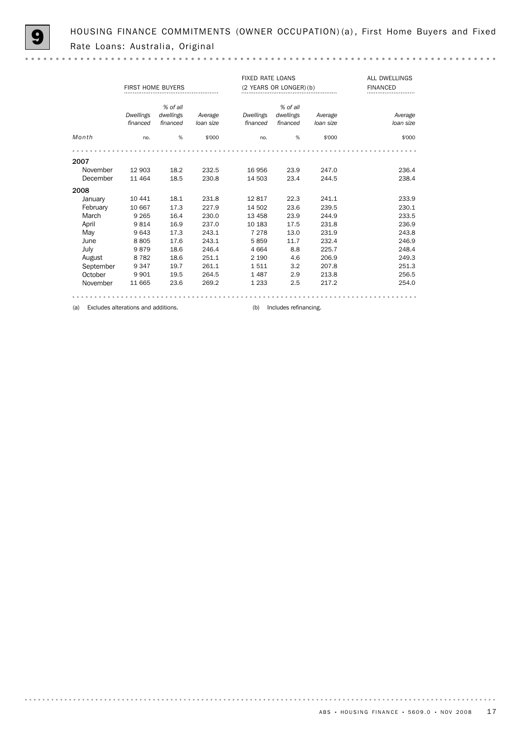HOUSING FINANCE COMMITMENTS (OWNER OCCUPATION) (a), First Home Buyers and Fixed Rate Loans: Australia, Original

 $\mathbf{a} \cdot \mathbf{a} \cdot \mathbf{a} \cdot \mathbf{a}$ 

|           | <b>FIRST HOME BUYERS</b>            |                       |           |           | <b>FIXED RATE LOANS</b><br>(2 YEARS OR LONGER) (b) | <b>ALL DWELLINGS</b><br><b>FINANCED</b> |           |  |  |  |  |
|-----------|-------------------------------------|-----------------------|-----------|-----------|----------------------------------------------------|-----------------------------------------|-----------|--|--|--|--|
|           | <b>Dwellings</b>                    | % of all<br>dwellings | Average   | Dwellings | % of all<br>dwellings                              | Average                                 | Average   |  |  |  |  |
|           | financed                            | financed              | loan size | financed  | financed                                           | loan size                               | loan size |  |  |  |  |
| Month     | no.                                 | %                     | \$'000    | no.       | %                                                  | \$'000                                  | \$'000    |  |  |  |  |
|           |                                     |                       |           |           |                                                    |                                         |           |  |  |  |  |
| 2007      |                                     |                       |           |           |                                                    |                                         |           |  |  |  |  |
| November  | 12 903                              | 18.2                  | 232.5     | 16 956    | 23.9                                               | 247.0                                   | 236.4     |  |  |  |  |
| December  | 11 4 64                             | 18.5                  | 230.8     | 14 503    | 23.4                                               | 244.5                                   | 238.4     |  |  |  |  |
| 2008      |                                     |                       |           |           |                                                    |                                         |           |  |  |  |  |
| January   | 10 441                              | 18.1                  | 231.8     | 12817     | 22.3                                               | 241.1                                   | 233.9     |  |  |  |  |
| February  | 10 667                              | 17.3                  | 227.9     | 14 502    | 23.6                                               | 239.5                                   | 230.1     |  |  |  |  |
| March     | 9 2 6 5                             | 16.4                  | 230.0     | 13 4 58   | 23.9                                               | 244.9                                   | 233.5     |  |  |  |  |
| April     | 9814                                | 16.9                  | 237.0     | 10 183    | 17.5                                               | 231.8                                   | 236.9     |  |  |  |  |
| May       | 9643                                | 17.3                  | 243.1     | 7 2 7 8   | 13.0                                               | 231.9                                   | 243.8     |  |  |  |  |
| June      | 8805                                | 17.6                  | 243.1     | 5859      | 11.7                                               | 232.4                                   | 246.9     |  |  |  |  |
| July      | 9879                                | 18.6                  | 246.4     | 4 6 6 4   | 8.8                                                | 225.7                                   | 248.4     |  |  |  |  |
| August    | 8782                                | 18.6                  | 251.1     | 2 1 9 0   | 4.6                                                | 206.9                                   | 249.3     |  |  |  |  |
| September | 9 3 4 7                             | 19.7                  | 261.1     | 1511      | 3.2                                                | 207.8                                   | 251.3     |  |  |  |  |
| October   | 9 9 0 1                             | 19.5                  | 264.5     | 1 4 8 7   | 2.9                                                | 213.8                                   | 256.5     |  |  |  |  |
| November  | 11 665                              | 23.6                  | 269.2     | 1 2 3 3   | 2.5                                                | 217.2                                   | 254.0     |  |  |  |  |
|           |                                     |                       |           |           |                                                    |                                         |           |  |  |  |  |
| (a)       | Excludes alterations and additions. |                       |           | (b)       | Includes refinancing.                              |                                         |           |  |  |  |  |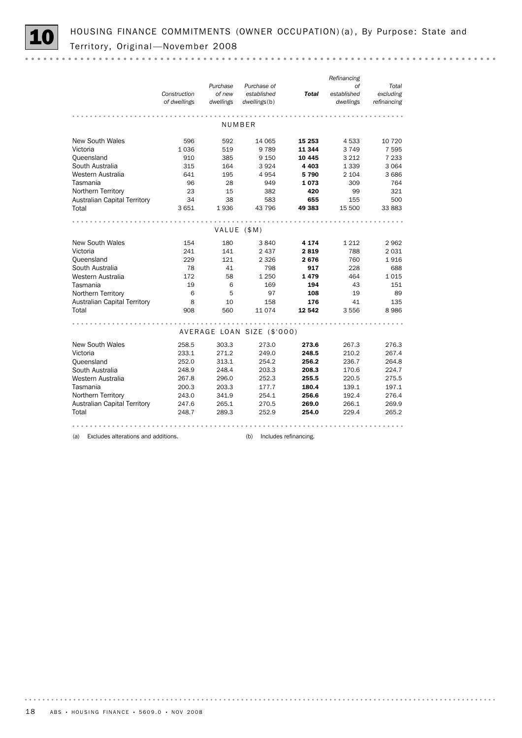

*Refinancing Total Purchase of Purchase of established established Construction of new Total excluding of dwellings dwellings refinancing dwellings*(b) *dwellings* NUMBER New South Wales **596** 592 14 065 **15 253** 4 533 10 720 Victoria 1 1036 519 9789 **11 344** 3 749 7 595 Queensland 910 385 9 150 10 445 3 212 7 233 South Australia **315** 164 3924 4403 1339 3064 Western Australia 641 195 4 954 5 790 2 104 3 686 Tasmania 96 28 949 1 073 309 764 Northern Territory 23 15 382 420 99 321 Australian Capital Territory a 34 38 583 655 155 500 Total 3 651 1 936 43 796 49 383 15 500 33 883 VALUE (\$M) New South Wales 154 180 3840 4 174 1 212 2 962<br>Victoria 241 141 2 437 2 819 788 2 031<br>Queensland 229 121 2 326 2 676 760 1 916 Victoria 241 141 2437 2819 788 2031<br>
Queensland 229 121 2326 2676 760 1916<br>
South Australia 78 41 798 917 228 688<br>
Western Australia 172 58 1250 1479 464 1015<br>
Tasmania 19 6 169 194 43 151 Victoria 241 141 2 437 2 819 788 2 031 Queensland 229 121 2 326 2 676 760 1 916 Western Australia 172 58 1 250 1 479 464 1 015 Tasmania 19 6 169 194 43 151 Northern Territory 6 5 97 108 19 89 Australian Capital Territory 8 10 158 **176** 41 135 Total 908 560 11 074 12 542 3 556 8 986 AVERAGE LOAN SIZE (\$'000) New South Wales 258.5 303.3 273.0 273.6 267.3 276.3<br>Victoria 233.1 271.2 249.0 248.5 210.2 267.4 Victoria 233.1 271.2 249.0 248.5 210.2 267.4 Queensland 252.0 313.1 254.2 256.2 236.7 264.8 South Australia 200.3 248.9 248.4 203.3 208.3 170.6 224.7<br>
Western Australia 267.8 296.0 252.3 255.5 220.5 275.5<br>
Tasmania 200.3 203.3 177.7 180.4 139.1 197.1 South Australia 248.9 248.4 203.3 208.3 170.6 224.7 Tasmania 200.3 203.3 177.7 180.4 139.1 197.1 Australian Capital Territory and 243.0 254.1 256.6 192.4 276.4<br>Australian Capital Territory 247.6 265.1 270.5 269.0 266.1 269.9<br>Total 248.7 289.3 252.9 254.0 229.4 265.2 Northern Territory 243.0 341.9 254.1 256.6 192.4 276.4 Total 248.7 289.3 252.9 **254.0** 229.4 265.2 . . . . . . . . . . . . . . . . . . . . . . . . . . . .

(a) Excludes alterations and additions. (b) Includes refinancing.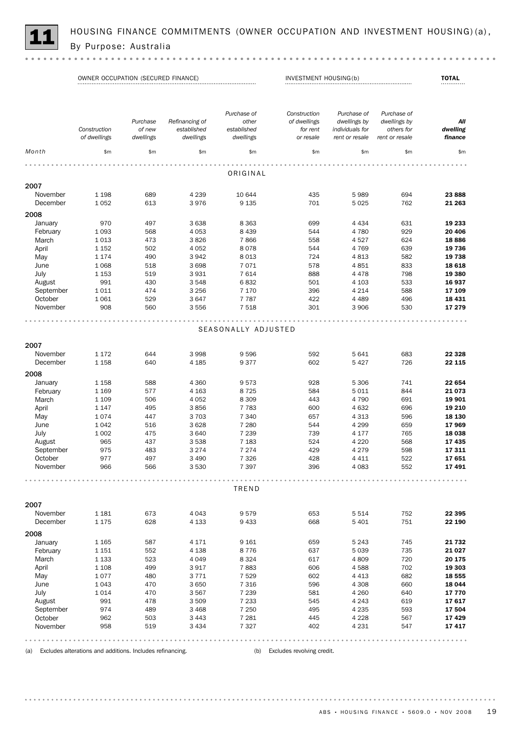

HOUSING FINANCE COMMITMENTS (OWNER OCCUPATION AND INVESTMENT HOUSING)(a),<br>By Purpose: Australia

|                      | OWNER OCCUPATION (SECURED FINANCE) |                     |                          | INVESTMENT HOUSING(b)    |                              |                                   | <b>TOTAL</b>                 |                     |
|----------------------|------------------------------------|---------------------|--------------------------|--------------------------|------------------------------|-----------------------------------|------------------------------|---------------------|
|                      |                                    | Purchase            | Refinancing of           | Purchase of<br>other     | Construction<br>of dwellings | Purchase of<br>dwellings by       | Purchase of<br>dwellings by  | All                 |
|                      | Construction<br>of dwellings       | of new<br>dwellings | established<br>dwellings | established<br>dwellings | for rent<br>or resale        | individuals for<br>rent or resale | others for<br>rent or resale | dwelling<br>finance |
| Month                | \$m\$                              | \$m                 | \$m\$                    | \$m                      | \$m\$                        | \$m\$                             | \$m                          | \$m\$               |
|                      |                                    |                     |                          |                          |                              |                                   |                              |                     |
|                      |                                    |                     |                          | ORIGINAL                 |                              |                                   |                              |                     |
| 2007                 |                                    |                     |                          |                          |                              |                                   |                              |                     |
| November<br>December | 1 1 9 8<br>1052                    | 689<br>613          | 4 2 3 9<br>3976          | 10 644<br>9 1 35         | 435<br>701                   | 5989<br>5025                      | 694<br>762                   | 23 888<br>21 263    |
| 2008                 |                                    |                     |                          |                          |                              |                                   |                              |                     |
| January              | 970                                | 497                 | 3638                     | 8 3 6 3                  | 699                          | 4 4 3 4                           | 631                          | 19 233              |
| February             | 1 0 9 3                            | 568                 | 4 0 5 3                  | 8 4 3 9                  | 544                          | 4780                              | 929                          | 20 406              |
| March                | 1013                               | 473                 | 3826                     | 7866                     | 558                          | 4527                              | 624                          | 18886               |
| April                | 1 1 5 2                            | 502                 | 4 0 5 2                  | 8078                     | 544                          | 4769                              | 639                          | 19 736              |
| May                  | 1 1 7 4                            | 490                 | 3942                     | 8 0 1 3                  | 724                          | 4813                              | 582                          | 19 738              |
| June                 | 1 0 6 8                            | 518                 | 3698                     | 7071                     | 578                          | 4851                              | 833                          | 18 618              |
| July                 | 1 1 5 3                            | 519                 | 3931                     | 7614                     | 888                          | 4478                              | 798                          | 19 380              |
| August               | 991                                | 430                 | 3 5 4 8                  | 6832                     | 501                          | 4 1 0 3                           | 533                          | 16 937              |
| September            | 1011                               | 474                 | 3 2 5 6                  | 7 1 7 0                  | 396                          | 4 2 1 4                           | 588                          | 17 109              |
| October              | 1061                               | 529                 | 3647                     | 7 7 8 7                  | 422                          | 4 4 8 9                           | 496                          | 18 4 31             |
| November             | 908                                | 560                 | 3556                     | 7 5 18                   | 301                          | 3 9 0 6                           | 530                          | 17 279              |
|                      |                                    |                     |                          |                          |                              |                                   |                              |                     |
|                      |                                    |                     |                          | SEASONALLY ADJUSTED      |                              |                                   |                              |                     |
| 2007                 |                                    |                     |                          |                          |                              |                                   |                              |                     |
| November             | 1 1 7 2                            | 644                 | 3998                     | 9 5 9 6                  | 592                          | 5641                              | 683                          | 22 3 28             |
| December             | 1 1 5 8                            | 640                 | 4 1 8 5                  | 9377                     | 602                          | 5427                              | 726                          | 22 115              |
| 2008                 |                                    |                     |                          |                          |                              |                                   |                              |                     |
| January              | 1 1 5 8                            | 588                 | 4 3 6 0                  | 9573                     | 928                          | 5 3 0 6                           | 741                          | 22 654              |
| February             | 1 1 6 9                            | 577                 | 4 1 6 3                  | 8725                     | 584                          | 5011                              | 844                          | 21 0 73             |
|                      | 1 1 0 9                            | 506                 | 4 0 5 2                  | 8 3 0 9                  | 443                          | 4790                              | 691                          | 19 901              |
| March<br>April       | 1 1 4 7                            | 495                 |                          | 7 7 8 3                  | 600                          | 4 6 3 2                           | 696                          | 19 210              |
|                      | 1074                               | 447                 | 3856<br>3 7 0 3          | 7 3 4 0                  |                              |                                   | 596                          | 18 130              |
| May                  |                                    |                     |                          |                          | 657                          | 4 3 1 3                           |                              |                     |
| June                 | 1042                               | 516                 | 3628                     | 7 2 8 0                  | 544                          | 4 2 9 9                           | 659                          | 17969               |
| July                 | 1 0 0 2                            | 475                 | 3 6 4 0                  | 7 2 3 9                  | 739                          | 4 1 7 7                           | 765                          | 18 038              |
| August               | 965                                | 437                 | 3 5 3 8                  | 7 1 8 3                  | 524                          | 4 2 2 0                           | 568                          | 17435               |
| September            | 975                                | 483                 | 3 2 7 4                  | 7 2 7 4                  | 429                          | 4 2 7 9                           | 598                          | 17311               |
| October              | 977                                | 497<br>566          | 3 4 9 0<br>3 530         | 7 3 2 6                  | 428<br>396                   | 4 4 1 1<br>4.083                  | 522<br>552                   | 17651               |
| November             | 966                                |                     |                          | 7 3 9 7                  |                              |                                   |                              | 17491               |
|                      |                                    |                     |                          | TREND                    |                              |                                   |                              |                     |
| 2007                 |                                    |                     |                          |                          |                              |                                   |                              |                     |
| November             | 1 1 8 1                            | 673                 | 4 0 4 3                  | 9579                     | 653                          | 5 5 1 4                           | 752                          | 22 395              |
| December             | 1 1 7 5                            | 628                 | 4 1 3 3                  | 9 4 3 3                  | 668                          | 5 4 0 1                           | 751                          | 22 190              |
|                      |                                    |                     |                          |                          |                              |                                   |                              |                     |
| 2008                 |                                    |                     |                          |                          |                              |                                   |                              |                     |
| January              | 1 1 6 5                            | 587                 | 4 1 7 1                  | 9 1 6 1                  | 659                          | 5 2 4 3                           | 745                          | 21 732              |
| February             | 1 1 5 1                            | 552                 | 4 1 3 8                  | 8776                     | 637                          | 5039                              | 735                          | 21 0 27             |
| March                | 1 1 3 3                            | 523                 | 4 0 4 9                  | 8 3 2 4                  | 617                          | 4809                              | 720                          | 20 175              |
| April                | 1 1 0 8                            | 499                 | 3917                     | 7883                     | 606                          | 4588                              | 702                          | 19 303              |
| May                  | 1077                               | 480                 | 3771                     | 7 5 2 9                  | 602                          | 4 4 1 3                           | 682                          | 18 555              |
| June                 | 1043                               | 470                 | 3 6 5 0                  | 7 3 1 6                  | 596                          | 4 3 0 8                           | 660                          | 18 044              |
| July                 | 1014                               | 470                 | 3567                     | 7 2 3 9                  | 581                          | 4 2 6 0                           | 640                          | 17 770              |
| August               | 991                                | 478                 | 3 5 0 9                  | 7 2 3 3                  | 545                          | 4 2 4 3                           | 619                          | 17617               |
| September            | 974                                | 489                 | 3 4 6 8                  | 7 2 5 0                  | 495                          | 4 2 3 5                           | 593                          | 17 504              |
| October              | 962                                | 503                 | 3 4 4 3                  | 7 2 8 1                  | 445                          | 4 2 2 8                           | 567                          | 17429               |
| November             | 958                                | 519                 | 3 4 3 4                  | 7 3 2 7                  | 402                          | 4 2 3 1                           | 547                          | 17417               |
|                      |                                    |                     |                          |                          |                              |                                   |                              |                     |

(a) Excludes alterations and additions. Includes refinancing. (b) Excludes revolving credit.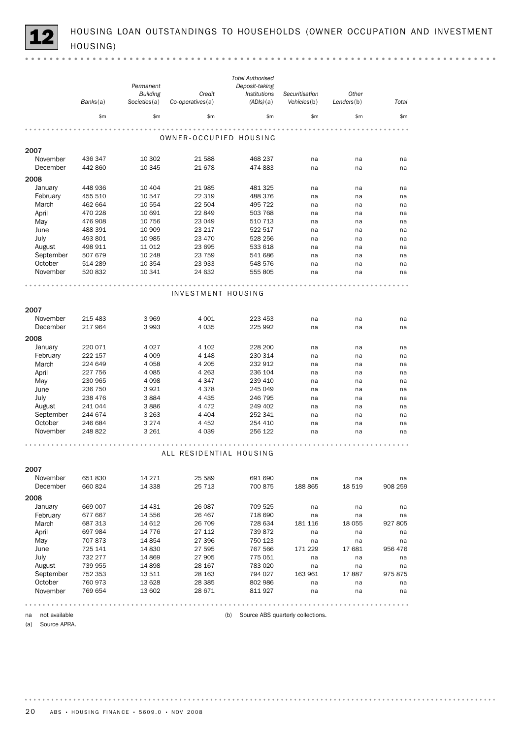HOUSING LOAN OUTSTANDINGS TO HOUSEHOLDS (OWNER OCCUPATION AND INVESTMENT HOUSING)

|                     | Banks(a) | Permanent<br><b>Building</b><br>Societies(a) | Credit<br>Co-operatives(a) | <b>Total Authorised</b><br>Deposit-taking<br>Institutions<br>(ADIs)(a) | Securitisation<br>Vehicles(b)     | Other<br>Lenders(b) | Total   |
|---------------------|----------|----------------------------------------------|----------------------------|------------------------------------------------------------------------|-----------------------------------|---------------------|---------|
|                     | \$m      | \$m                                          | \$m                        | \$m                                                                    | \$m\$                             | \$m\$               | \$m\$   |
|                     |          |                                              | OWNER-OCCUPIED HOUSING     |                                                                        |                                   |                     |         |
| 2007                |          |                                              |                            |                                                                        |                                   |                     |         |
| November            | 436 347  | 10 302                                       | 21 588                     | 468 237                                                                | na                                | na                  | na      |
| December            | 442 860  | 10 345                                       | 21 678                     | 474 883                                                                | na                                | na                  | na      |
| 2008                |          |                                              |                            |                                                                        |                                   |                     |         |
| January             | 448 936  | 10 404                                       | 21 985                     | 481 325                                                                | na                                | na                  | na      |
| February            | 455 510  | 10 547                                       | 22 3 19                    | 488 376                                                                | na                                | na                  | na      |
| March               | 462 664  | 10 554                                       | 22 504                     | 495 722                                                                | na                                | na                  | na      |
| April               | 470 228  | 10 691                                       | 22 849                     | 503 768                                                                | na                                | na                  | na      |
| May                 | 476 908  | 10 756                                       | 23 049                     | 510 713                                                                | na                                | na                  | na      |
| June                | 488 391  | 10 909                                       | 23 217                     | 522 517                                                                | na                                | na                  | na      |
| July                | 493 801  | 10 985                                       | 23 470                     | 528 256                                                                | na                                | na                  | na      |
| August              | 498 911  | 11 0 12                                      | 23 695                     | 533 618                                                                | na                                | na                  | na      |
| September           | 507 679  | 10 248                                       | 23 7 5 9                   | 541 686                                                                | na                                | na                  | na      |
| October             | 514 289  | 10 354                                       | 23 933                     | 548 576                                                                | na                                | na                  | na      |
| November            | 520 832  | 10 341                                       | 24 632                     | 555 805                                                                | na                                | na                  | na      |
|                     |          |                                              |                            |                                                                        |                                   |                     |         |
|                     |          |                                              | INVESTMENT HOUSING         |                                                                        |                                   |                     |         |
| 2007                |          |                                              |                            |                                                                        |                                   |                     |         |
| November            | 215 483  | 3969                                         | 4 0 0 1                    | 223 453                                                                | na                                | na                  | na      |
| December            | 217 964  | 3993                                         | 4 0 3 5                    | 225 992                                                                | na                                | na                  | na      |
| 2008                |          |                                              |                            |                                                                        |                                   |                     |         |
| January             | 220 071  | 4027                                         | 4 1 0 2                    | 228 200                                                                | na                                | na                  | na      |
| February            | 222 157  | 4 0 0 9                                      | 4 1 4 8                    | 230 314                                                                | na                                | na                  | na      |
| March               | 224 649  | 4058                                         | 4 2 0 5                    | 232 912                                                                | na                                | na                  | na      |
| April               | 227 756  | 4 0 8 5                                      | 4 2 6 3                    | 236 104                                                                | na                                | na                  | na      |
| May                 | 230 965  | 4098                                         | 4 3 4 7                    | 239 410                                                                | na                                | na                  | na      |
| June                | 236 750  | 3921                                         | 4378                       | 245 049                                                                | na                                | na                  | na      |
| July                | 238 476  | 3884                                         | 4 4 3 5                    | 246 795                                                                | na                                | na                  | na      |
| August              | 241 044  | 3886                                         | 4472                       | 249 402                                                                | na                                | na                  | na      |
| September           | 244 674  | 3 2 6 3                                      | 4 4 0 4                    | 252 341                                                                | na                                | na                  | na      |
| October             | 246 684  | 3 2 7 4                                      | 4 4 5 2                    | 254 410                                                                | na                                | na                  | na      |
| November            | 248 822  | 3 2 6 1                                      | 4039                       | 256 122                                                                | na                                | na                  | na      |
|                     |          |                                              |                            |                                                                        |                                   |                     |         |
|                     |          |                                              | ALL RESIDENTIAL HOUSING    |                                                                        |                                   |                     |         |
| 2007                |          |                                              |                            |                                                                        |                                   |                     |         |
| November            | 651 830  | 14 2 7 1                                     | 25 5 89                    | 691 690                                                                | na                                | na                  | na      |
| December            | 660 824  | 14 3 38                                      | 25 7 13                    | 700 875                                                                | 188 865                           | 18 5 19             | 908 259 |
| 2008                |          |                                              |                            |                                                                        |                                   |                     |         |
| January             | 669 007  | 14 431                                       | 26 087                     | 709 525                                                                | na                                | na                  | na      |
| February            | 677 667  | 14 556                                       | 26 467                     | 718 690                                                                | na                                | na                  | na      |
| March               | 687 313  | 14 612                                       | 26 709                     | 728 634                                                                | 181 116                           | 18 055              | 927 805 |
| April               | 697 984  | 14 7 7 6                                     | 27 112                     | 739 872                                                                | na                                | na                  | na      |
| May                 | 707 873  | 14 8 54                                      | 27 396                     | 750 123                                                                | na                                | na                  | na      |
| June                | 725 141  | 14 8 30                                      | 27 595                     | 767 566                                                                | 171 229                           | 17 681              | 956 476 |
| July                | 732 277  | 14 8 69                                      | 27 905                     | 775 051                                                                | na                                | na                  | na      |
| August              | 739 955  | 14 8 98                                      | 28 167                     | 783 020                                                                | na                                | na                  | na      |
| September           | 752 353  | 13 511                                       | 28 163                     | 794 027                                                                | 163 961                           | 17887               | 975 875 |
| October             | 760 973  | 13 628                                       | 28 3 8 5                   | 802 986                                                                | na                                | na                  | na      |
| November            | 769 654  | 13 602                                       | 28 671                     | 811 927                                                                | na                                | na                  | na      |
|                     |          |                                              |                            |                                                                        |                                   |                     |         |
| not available<br>na |          |                                              |                            | (b)                                                                    | Source ABS quarterly collections. |                     |         |

(a) Source APRA.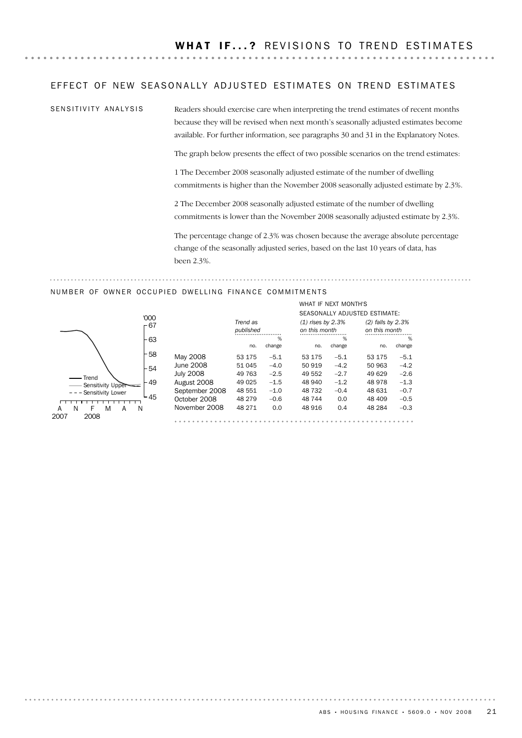### EFFECT OF NEW SEASONALLY ADJUSTED ESTIMATES ON TREND ESTIMATES

SENSITIVITY ANALYSIS

Readers should exercise care when interpreting the trend estimates of recent months because they will be revised when next month's seasonally adjusted estimates become available. For further information, see paragraphs 30 and 31 in the Explanatory Notes.

The graph below presents the effect of two possible scenarios on the trend estimates:

1 The December 2008 seasonally adjusted estimate of the number of dwelling commitments is higher than the November 2008 seasonally adjusted estimate by 2.3%.

2 The December 2008 seasonally adjusted estimate of the number of dwelling commitments is lower than the November 2008 seasonally adjusted estimate by 2.3%.

The percentage change of 2.3% was chosen because the average absolute percentage change of the seasonally adjusted series, based on the last 10 years of data, has been 2.3%.

#### NUMBER OF OWNER OCCUPIED DWELLING FINANCE COMMITMENTS



|                  |           |        |                     | WHAT IF NEAT MUNIH'S |                               |        |
|------------------|-----------|--------|---------------------|----------------------|-------------------------------|--------|
|                  |           |        |                     |                      | SEASONALLY ADJUSTED ESTIMATE: |        |
|                  | Trend as  |        | $(1)$ rises by 2.3% |                      | $(2)$ falls by 2.3%           |        |
|                  | published |        | on this month       |                      | on this month                 |        |
|                  |           | %      |                     | %                    |                               | %      |
|                  | no.       | change | no.                 | change               | no.                           | change |
| May 2008         | 53 175    | $-5.1$ | 53 175              | $-5.1$               | 53 175                        | $-5.1$ |
| June 2008        | 51 045    | $-4.0$ | 50 919              | $-4.2$               | 50 963                        | $-4.2$ |
| <b>July 2008</b> | 49 763    | $-2.5$ | 49 552              | $-2.7$               | 49 629                        | $-2.6$ |
| August 2008      | 49 0 25   | $-1.5$ | 48 940              | $-1.2$               | 48 978                        | $-1.3$ |
| September 2008   | 48 551    | $-1.0$ | 48 732              | $-0.4$               | 48 631                        | $-0.7$ |
| October 2008     | 48 279    | $-0.6$ | 48 744              | 0.0                  | 48 409                        | $-0.5$ |
| November 2008    | 48 271    | 0.0    | 48 916              | 0.4                  | 48 284                        | $-0.3$ |
|                  |           |        |                     |                      |                               |        |

# WHAT IF NEVT MONTHS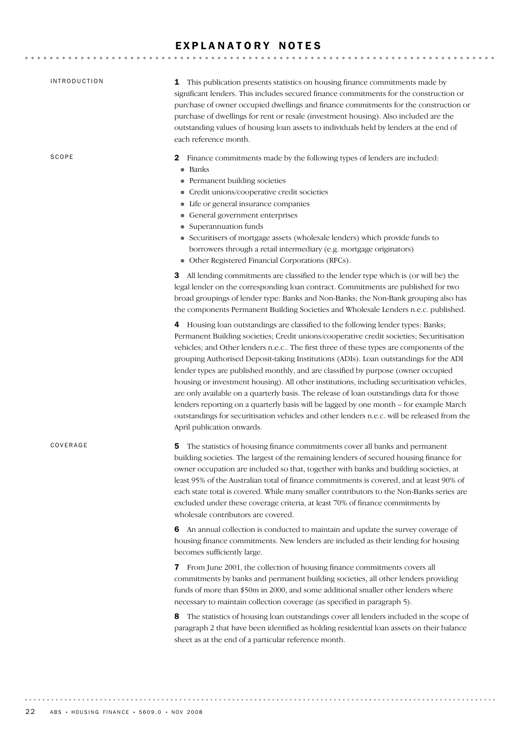# EXPLANATORY NOTES

| <b>INTRODUCTION</b> | 1 This publication presents statistics on housing finance commitments made by<br>significant lenders. This includes secured finance commitments for the construction or<br>purchase of owner occupied dwellings and finance commitments for the construction or<br>purchase of dwellings for rent or resale (investment housing). Also included are the<br>outstanding values of housing loan assets to individuals held by lenders at the end of<br>each reference month.                                                                                                                                                                                                                                                                                                                                                                                                                                                                                                                                                                                                                                                                                                                                                            |
|---------------------|---------------------------------------------------------------------------------------------------------------------------------------------------------------------------------------------------------------------------------------------------------------------------------------------------------------------------------------------------------------------------------------------------------------------------------------------------------------------------------------------------------------------------------------------------------------------------------------------------------------------------------------------------------------------------------------------------------------------------------------------------------------------------------------------------------------------------------------------------------------------------------------------------------------------------------------------------------------------------------------------------------------------------------------------------------------------------------------------------------------------------------------------------------------------------------------------------------------------------------------|
| SCOPE               | Finance commitments made by the following types of lenders are included:<br>2<br>■ Banks<br>Permanent building societies<br>Credit unions/cooperative credit societies<br>Life or general insurance companies<br>General government enterprises<br>Superannuation funds<br>Securitisers of mortgage assets (wholesale lenders) which provide funds to<br>borrowers through a retail intermediary (e.g. mortgage originators)<br>• Other Registered Financial Corporations (RFCs).                                                                                                                                                                                                                                                                                                                                                                                                                                                                                                                                                                                                                                                                                                                                                     |
|                     | All lending commitments are classified to the lender type which is (or will be) the<br>3<br>legal lender on the corresponding loan contract. Commitments are published for two<br>broad groupings of lender type: Banks and Non-Banks; the Non-Bank grouping also has<br>the components Permanent Building Societies and Wholesale Lenders n.e.c. published.<br>4 Housing loan outstandings are classified to the following lender types: Banks;<br>Permanent Building societies; Credit unions/cooperative credit societies; Securitisation<br>vehicles; and Other lenders n.e.c The first three of these types are components of the<br>grouping Authorised Deposit-taking Institutions (ADIs). Loan outstandings for the ADI<br>lender types are published monthly, and are classified by purpose (owner occupied<br>housing or investment housing). All other institutions, including securitisation vehicles,<br>are only available on a quarterly basis. The release of loan outstandings data for those<br>lenders reporting on a quarterly basis will be lagged by one month - for example March<br>outstandings for securitisation vehicles and other lenders n.e.c. will be released from the<br>April publication onwards. |
| COVERAGE            | The statistics of housing finance commitments cover all banks and permanent<br>5<br>building societies. The largest of the remaining lenders of secured housing finance for<br>owner occupation are included so that, together with banks and building societies, at<br>least 95% of the Australian total of finance commitments is covered, and at least 90% of<br>each state total is covered. While many smaller contributors to the Non-Banks series are<br>excluded under these coverage criteria, at least 70% of finance commitments by<br>wholesale contributors are covered.                                                                                                                                                                                                                                                                                                                                                                                                                                                                                                                                                                                                                                                 |
|                     | 6 An annual collection is conducted to maintain and update the survey coverage of<br>housing finance commitments. New lenders are included as their lending for housing<br>becomes sufficiently large.<br>7 From June 2001, the collection of housing finance commitments covers all<br>commitments by banks and permanent building societies, all other lenders providing<br>funds of more than \$50m in 2000, and some additional smaller other lenders where<br>necessary to maintain collection coverage (as specified in paragraph 5).<br>The statistics of housing loan outstandings cover all lenders included in the scope of<br>8<br>paragraph 2 that have been identified as holding residential loan assets on their balance<br>sheet as at the end of a particular reference month.                                                                                                                                                                                                                                                                                                                                                                                                                                       |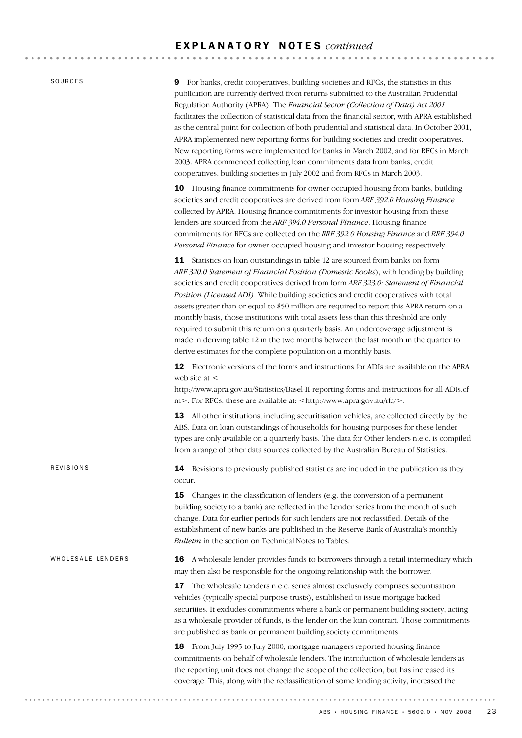# E X P L A N A T O R Y N O T E S *continued*

SOURCES

9 For banks, credit cooperatives, building societies and RFCs, the statistics in this publication are currently derived from returns submitted to the Australian Prudential Regulation Authority (APRA). The *Financial Sector (Collection of Data) Act 2001* facilitates the collection of statistical data from the financial sector, with APRA established as the central point for collection of both prudential and statistical data. In October 2001, APRA implemented new reporting forms for building societies and credit cooperatives. New reporting forms were implemented for banks in March 2002, and for RFCs in March 2003. APRA commenced collecting loan commitments data from banks, credit cooperatives, building societies in July 2002 and from RFCs in March 2003.

10 Housing finance commitments for owner occupied housing from banks, building societies and credit cooperatives are derived from form *ARF 392.0 Housing Finance* collected by APRA. Housing finance commitments for investor housing from these lenders are sourced from the *ARF 394.0 Personal Finance*. Housing finance commitments for RFCs are collected on the *RRF 392.0 Housing Finance* and *RRF 394.0 Personal Finance* for owner occupied housing and investor housing respectively.

11 Statistics on loan outstandings in table 12 are sourced from banks on form *ARF 320.0 Statement of Financial Position (Domestic Books*), with lending by building societies and credit cooperatives derived from form *ARF 323.0: Statement of Financial Position (Licensed ADI)*. While building societies and credit cooperatives with total assets greater than or equal to \$50 million are required to report this APRA return on a monthly basis, those institutions with total assets less than this threshold are only required to submit this return on a quarterly basis. An undercoverage adjustment is made in deriving table 12 in the two months between the last month in the quarter to derive estimates for the complete population on a monthly basis.

12 Electronic versions of the forms and instructions for ADIs are available on the APRA web site at <

http://www.apra.gov.au/Statistics/Basel-II-reporting-forms-and-instructions-for-all-ADIs.cf m >. For RFCs, these are available at: <http://www.apra.gov.au/rfc/>.

13 All other institutions, including securitisation vehicles, are collected directly by the ABS. Data on loan outstandings of households for housing purposes for these lender types are only available on a quarterly basis. The data for Other lenders n.e.c. is compiled from a range of other data sources collected by the Australian Bureau of Statistics.

14 Revisions to previously published statistics are included in the publication as they occur.

**15** Changes in the classification of lenders (e.g. the conversion of a permanent building society to a bank) are reflected in the Lender series from the month of such change. Data for earlier periods for such lenders are not reclassified. Details of the establishment of new banks are published in the Reserve Bank of Australia's monthly *Bulletin* in the section on Technical Notes to Tables.

#### WHOLESALE LENDERS

REVISIONS

16 A wholesale lender provides funds to borrowers through a retail intermediary which may then also be responsible for the ongoing relationship with the borrower.

17 The Wholesale Lenders n.e.c. series almost exclusively comprises securitisation vehicles (typically special purpose trusts), established to issue mortgage backed securities. It excludes commitments where a bank or permanent building society, acting as a wholesale provider of funds, is the lender on the loan contract. Those commitments are published as bank or permanent building society commitments.

18 From July 1995 to July 2000, mortgage managers reported housing finance commitments on behalf of wholesale lenders. The introduction of wholesale lenders as the reporting unit does not change the scope of the collection, but has increased its coverage. This, along with the reclassification of some lending activity, increased the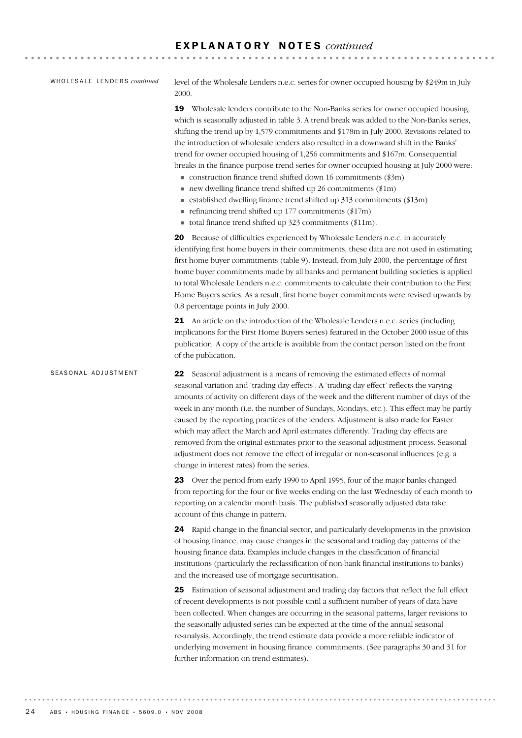# E X P L A N A T O R Y N O T E S *continued*

#### WHOLESALE LENDERS *continued*

level of the Wholesale Lenders n.e.c. series for owner occupied housing by \$249m in July 2000.

19 Wholesale lenders contribute to the Non-Banks series for owner occupied housing, which is seasonally adjusted in table 3. A trend break was added to the Non-Banks series, shifting the trend up by 1,579 commitments and \$178m in July 2000. Revisions related to the introduction of wholesale lenders also resulted in a downward shift in the Banks' trend for owner occupied housing of 1,256 commitments and \$167m. Consequential breaks in the finance purpose trend series for owner occupied housing at July 2000 were:

- $\blacksquare$  construction finance trend shifted down 16 commitments (\$3m)
- $\blacksquare$  new dwelling finance trend shifted up 26 commitments (\$1m)
- $\blacksquare$  established dwelling finance trend shifted up 313 commitments (\$13m)
- $\blacksquare$  refinancing trend shifted up 177 commitments (\$17m)
- ! total finance trend shifted up 323 commitments (\$11m).

20 Because of difficulties experienced by Wholesale Lenders n.e.c. in accurately identifying first home buyers in their commitments, these data are not used in estimating first home buyer commitments (table 9). Instead, from July 2000, the percentage of first home buyer commitments made by all banks and permanent building societies is applied to total Wholesale Lenders n.e.c. commitments to calculate their contribution to the First Home Buyers series. As a result, first home buyer commitments were revised upwards by 0.8 percentage points in July 2000.

21 An article on the introduction of the Wholesale Lenders n.e.c. series (including implications for the First Home Buyers series) featured in the October 2000 issue of this publication. A copy of the article is available from the contact person listed on the front of the publication.

22 Seasonal adjustment is a means of removing the estimated effects of normal seasonal variation and 'trading day effects'. A 'trading day effect' reflects the varying amounts of activity on different days of the week and the different number of days of the week in any month (i.e. the number of Sundays, Mondays, etc.). This effect may be partly caused by the reporting practices of the lenders. Adjustment is also made for Easter which may affect the March and April estimates differently. Trading day effects are removed from the original estimates prior to the seasonal adjustment process. Seasonal adjustment does not remove the effect of irregular or non-seasonal influences (e.g. a change in interest rates) from the series. SEASONAL ADJUSTMENT

> 23 Over the period from early 1990 to April 1995, four of the major banks changed from reporting for the four or five weeks ending on the last Wednesday of each month to reporting on a calendar month basis. The published seasonally adjusted data take account of this change in pattern.

> 24 Rapid change in the financial sector, and particularly developments in the provision of housing finance, may cause changes in the seasonal and trading day patterns of the housing finance data. Examples include changes in the classification of financial institutions (particularly the reclassification of non-bank financial institutions to banks) and the increased use of mortgage securitisation.

> 25 Estimation of seasonal adjustment and trading day factors that reflect the full effect of recent developments is not possible until a sufficient number of years of data have been collected. When changes are occurring in the seasonal patterns, larger revisions to the seasonally adjusted series can be expected at the time of the annual seasonal re-analysis. Accordingly, the trend estimate data provide a more reliable indicator of underlying movement in housing finance commitments. (See paragraphs 30 and 31 for further information on trend estimates).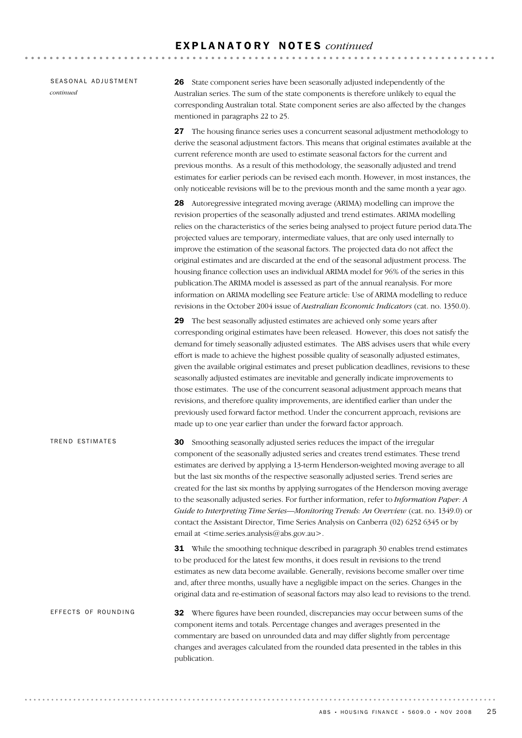|           | SEASONAL ADJUSTMENT |
|-----------|---------------------|
| continued |                     |

26 State component series have been seasonally adjusted independently of the Australian series. The sum of the state components is therefore unlikely to equal the corresponding Australian total. State component series are also affected by the changes mentioned in paragraphs 22 to 25.

27 The housing finance series uses a concurrent seasonal adjustment methodology to derive the seasonal adjustment factors. This means that original estimates available at the current reference month are used to estimate seasonal factors for the current and previous months. As a result of this methodology, the seasonally adjusted and trend estimates for earlier periods can be revised each month. However, in most instances, the only noticeable revisions will be to the previous month and the same month a year ago.

28 Autoregressive integrated moving average (ARIMA) modelling can improve the revision properties of the seasonally adjusted and trend estimates. ARIMA modelling relies on the characteristics of the series being analysed to project future period data.The projected values are temporary, intermediate values, that are only used internally to improve the estimation of the seasonal factors. The projected data do not affect the original estimates and are discarded at the end of the seasonal adjustment process. The housing finance collection uses an individual ARIMA model for 96% of the series in this publication.The ARIMA model is assessed as part of the annual reanalysis. For more information on ARIMA modelling see Feature article: Use of ARIMA modelling to reduce revisions in the October 2004 issue of *Australian Economic Indicators* (cat. no. 1350.0).

29 The best seasonally adjusted estimates are achieved only some years after corresponding original estimates have been released. However, this does not satisfy the demand for timely seasonally adjusted estimates. The ABS advises users that while every effort is made to achieve the highest possible quality of seasonally adjusted estimates, given the available original estimates and preset publication deadlines, revisions to these seasonally adjusted estimates are inevitable and generally indicate improvements to those estimates. The use of the concurrent seasonal adjustment approach means that revisions, and therefore quality improvements, are identified earlier than under the previously used forward factor method. Under the concurrent approach, revisions are made up to one year earlier than under the forward factor approach.

30 Smoothing seasonally adjusted series reduces the impact of the irregular component of the seasonally adjusted series and creates trend estimates. These trend estimates are derived by applying a 13-term Henderson-weighted moving average to all but the last six months of the respective seasonally adjusted series. Trend series are created for the last six months by applying surrogates of the Henderson moving average to the seasonally adjusted series. For further information, refer to *Information Paper: A Guide to Interpreting Time Series—Monitoring Trends: An Overview* (cat. no. 1349.0) or contact the Assistant Director, Time Series Analysis on Canberra (02) 6252 6345 or by email at <time.series.analysis@abs.gov.au>. TREND ESTIMATES

> **31** While the smoothing technique described in paragraph 30 enables trend estimates to be produced for the latest few months, it does result in revisions to the trend estimates as new data become available. Generally, revisions become smaller over time and, after three months, usually have a negligible impact on the series. Changes in the original data and re-estimation of seasonal factors may also lead to revisions to the trend.

**32** Where figures have been rounded, discrepancies may occur between sums of the component items and totals. Percentage changes and averages presented in the commentary are based on unrounded data and may differ slightly from percentage changes and averages calculated from the rounded data presented in the tables in this publication. EFFECTS OF ROUNDING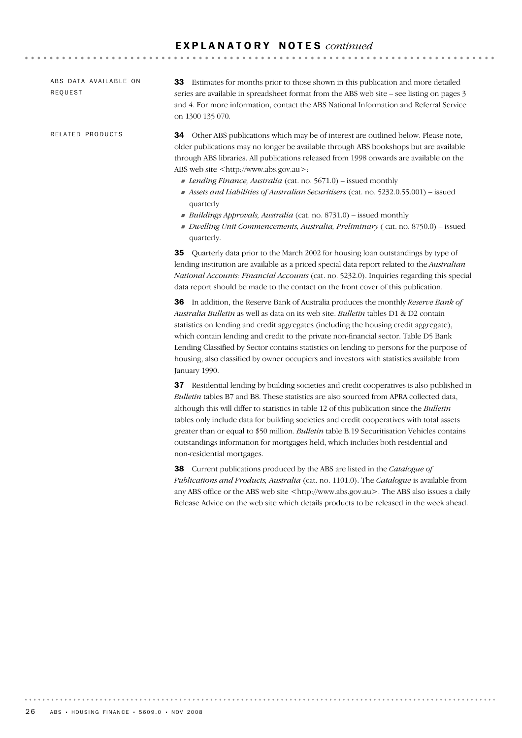# E X P L A N A T O R Y N O T E S *continued*

ABS DATA AVAILABLE ON REQUEST

RELATED PRODUCTS

33 Estimates for months prior to those shown in this publication and more detailed series are available in spreadsheet format from the ABS web site – see listing on pages 3 and 4. For more information, contact the ABS National Information and Referral Service on 1300 135 070.

**AAAAAAAAAA** 

34 Other ABS publications which may be of interest are outlined below. Please note, older publications may no longer be available through ABS bookshops but are available through ABS libraries. All publications released from 1998 onwards are available on the ABS web site <http://www.abs.gov.au>:

- ! *Lending Finance, Australia* (cat. no. 5671.0) issued monthly
- ! *Assets and Liabilities of Australian Securitisers* (cat. no. 5232.0.55.001) issued quarterly
- ! *Buildings Approvals, Australia* (cat. no. 8731.0) issued monthly
- ! *Dwelling Unit Commencements, Australia, Preliminary* ( cat. no. 8750.0) issued quarterly.

35 Quarterly data prior to the March 2002 for housing loan outstandings by type of lending institution are available as a priced special data report related to the *Australian National Accounts: Financial Accounts* (cat. no. 5232.0). Inquiries regarding this special data report should be made to the contact on the front cover of this publication.

36 In addition, the Reserve Bank of Australia produces the monthly *Reserve Bank of Australia Bulletin* as well as data on its web site. *Bulletin* tables D1 & D2 contain statistics on lending and credit aggregates (including the housing credit aggregate), which contain lending and credit to the private non-financial sector. Table D5 Bank Lending Classified by Sector contains statistics on lending to persons for the purpose of housing, also classified by owner occupiers and investors with statistics available from January 1990.

37 Residential lending by building societies and credit cooperatives is also published in *Bulletin* tables B7 and B8. These statistics are also sourced from APRA collected data, although this will differ to statistics in table 12 of this publication since the *Bulletin* tables only include data for building societies and credit cooperatives with total assets greater than or equal to \$50 million. *Bulletin* table B.19 Securitisation Vehicles contains outstandings information for mortgages held, which includes both residential and non-residential mortgages.

38 Current publications produced by the ABS are listed in the *Catalogue of Publications and Products, Australia* (cat. no. 1101.0). The *Catalogue* is available from any ABS office or the ABS web site <http://www.abs.gov.au>. The ABS also issues a daily Release Advice on the web site which details products to be released in the week ahead.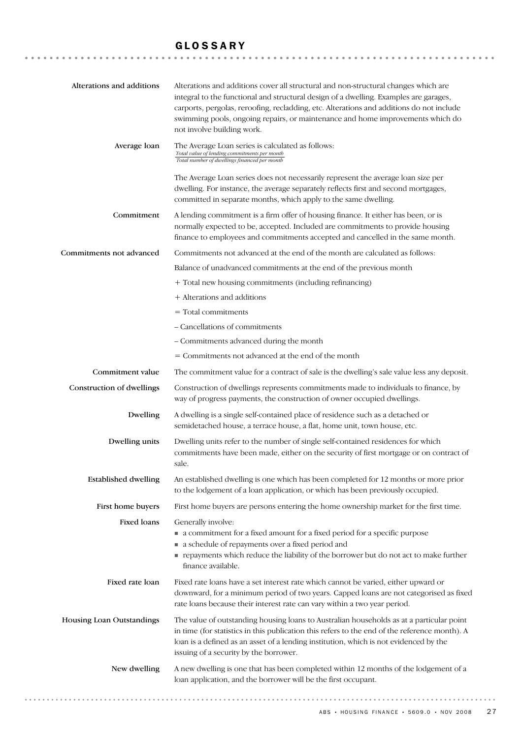# GLOSSARY

| Alterations and additions   | Alterations and additions cover all structural and non-structural changes which are<br>integral to the functional and structural design of a dwelling. Examples are garages,<br>carports, pergolas, reroofing, recladding, etc. Alterations and additions do not include<br>swimming pools, ongoing repairs, or maintenance and home improvements which do<br>not involve building work. |
|-----------------------------|------------------------------------------------------------------------------------------------------------------------------------------------------------------------------------------------------------------------------------------------------------------------------------------------------------------------------------------------------------------------------------------|
| Average loan                | The Average Loan series is calculated as follows:<br>Total value of lending commitments per month<br>Total number of dwellings financed per month                                                                                                                                                                                                                                        |
|                             | The Average Loan series does not necessarily represent the average loan size per<br>dwelling. For instance, the average separately reflects first and second mortgages,<br>committed in separate months, which apply to the same dwelling.                                                                                                                                               |
| Commitment                  | A lending commitment is a firm offer of housing finance. It either has been, or is<br>normally expected to be, accepted. Included are commitments to provide housing<br>finance to employees and commitments accepted and cancelled in the same month.                                                                                                                                   |
| Commitments not advanced    | Commitments not advanced at the end of the month are calculated as follows:                                                                                                                                                                                                                                                                                                              |
|                             | Balance of unadvanced commitments at the end of the previous month                                                                                                                                                                                                                                                                                                                       |
|                             | + Total new housing commitments (including refinancing)                                                                                                                                                                                                                                                                                                                                  |
|                             | + Alterations and additions                                                                                                                                                                                                                                                                                                                                                              |
|                             | $=$ Total commitments                                                                                                                                                                                                                                                                                                                                                                    |
|                             | - Cancellations of commitments                                                                                                                                                                                                                                                                                                                                                           |
|                             | - Commitments advanced during the month                                                                                                                                                                                                                                                                                                                                                  |
|                             | = Commitments not advanced at the end of the month                                                                                                                                                                                                                                                                                                                                       |
| Commitment value            | The commitment value for a contract of sale is the dwelling's sale value less any deposit.                                                                                                                                                                                                                                                                                               |
| Construction of dwellings   | Construction of dwellings represents commitments made to individuals to finance, by<br>way of progress payments, the construction of owner occupied dwellings.                                                                                                                                                                                                                           |
| Dwelling                    | A dwelling is a single self-contained place of residence such as a detached or<br>semidetached house, a terrace house, a flat, home unit, town house, etc.                                                                                                                                                                                                                               |
| Dwelling units              | Dwelling units refer to the number of single self-contained residences for which<br>commitments have been made, either on the security of first mortgage or on contract of<br>sale.                                                                                                                                                                                                      |
| <b>Established dwelling</b> | An established dwelling is one which has been completed for 12 months or more prior<br>to the lodgement of a loan application, or which has been previously occupied.                                                                                                                                                                                                                    |
| First home buyers           | First home buyers are persons entering the home ownership market for the first time.                                                                                                                                                                                                                                                                                                     |
| Fixed loans                 | Generally involve:<br>• a commitment for a fixed amount for a fixed period for a specific purpose<br>a schedule of repayments over a fixed period and<br>payments which reduce the liability of the borrower but do not act to make further<br>finance available.                                                                                                                        |
| Fixed rate loan             | Fixed rate loans have a set interest rate which cannot be varied, either upward or<br>downward, for a minimum period of two years. Capped loans are not categorised as fixed<br>rate loans because their interest rate can vary within a two year period.                                                                                                                                |
| Housing Loan Outstandings   | The value of outstanding housing loans to Australian households as at a particular point<br>in time (for statistics in this publication this refers to the end of the reference month). A<br>loan is a defined as an asset of a lending institution, which is not evidenced by the<br>issuing of a security by the borrower.                                                             |
| New dwelling                | A new dwelling is one that has been completed within 12 months of the lodgement of a<br>loan application, and the borrower will be the first occupant.                                                                                                                                                                                                                                   |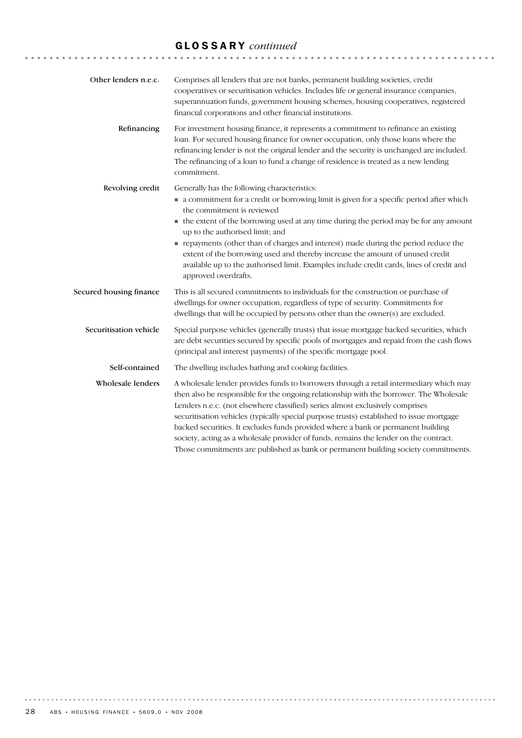# GLOSSARY *continued*

| Other lenders n.e.c.    | Comprises all lenders that are not banks, permanent building societies, credit<br>cooperatives or securitisation vehicles. Includes life or general insurance companies,<br>superannuation funds, government housing schemes, housing cooperatives, registered<br>financial corporations and other financial institutions.                                                                                                                                                                                                                                                                                                       |
|-------------------------|----------------------------------------------------------------------------------------------------------------------------------------------------------------------------------------------------------------------------------------------------------------------------------------------------------------------------------------------------------------------------------------------------------------------------------------------------------------------------------------------------------------------------------------------------------------------------------------------------------------------------------|
| Refinancing             | For investment housing finance, it represents a commitment to refinance an existing<br>loan. For secured housing finance for owner occupation, only those loans where the<br>refinancing lender is not the original lender and the security is unchanged are included.<br>The refinancing of a loan to fund a change of residence is treated as a new lending<br>commitment.                                                                                                                                                                                                                                                     |
| Revolving credit        | Generally has the following characteristics:<br>• a commitment for a credit or borrowing limit is given for a specific period after which<br>the commitment is reviewed<br>• the extent of the borrowing used at any time during the period may be for any amount<br>up to the authorised limit; and<br>repayments (other than of charges and interest) made during the period reduce the<br>extent of the borrowing used and thereby increase the amount of unused credit<br>available up to the authorised limit. Examples include credit cards, lines of credit and<br>approved overdrafts.                                   |
| Secured housing finance | This is all secured commitments to individuals for the construction or purchase of<br>dwellings for owner occupation, regardless of type of security. Commitments for<br>dwellings that will be occupied by persons other than the owner(s) are excluded.                                                                                                                                                                                                                                                                                                                                                                        |
| Securitisation vehicle  | Special purpose vehicles (generally trusts) that issue mortgage backed securities, which<br>are debt securities secured by specific pools of mortgages and repaid from the cash flows<br>(principal and interest payments) of the specific mortgage pool.                                                                                                                                                                                                                                                                                                                                                                        |
| Self-contained          | The dwelling includes bathing and cooking facilities.                                                                                                                                                                                                                                                                                                                                                                                                                                                                                                                                                                            |
| Wholesale lenders       | A wholesale lender provides funds to borrowers through a retail intermediary which may<br>then also be responsible for the ongoing relationship with the borrower. The Wholesale<br>Lenders n.e.c. (not elsewhere classified) series almost exclusively comprises<br>securitisation vehicles (typically special purpose trusts) established to issue mortgage<br>backed securities. It excludes funds provided where a bank or permanent building<br>society, acting as a wholesale provider of funds, remains the lender on the contract.<br>Those commitments are published as bank or permanent building society commitments. |